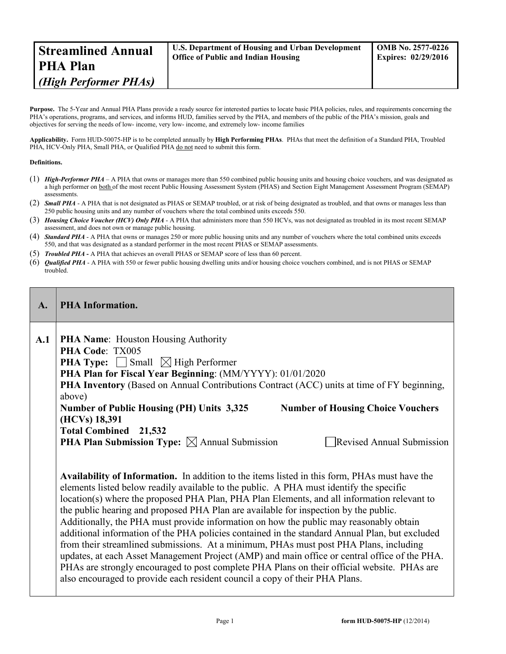| <b>Streamlined Annual</b> | <b>U.S. Department of Housing and Urban Development</b> | <b>OMB No. 2577-0226</b>   |
|---------------------------|---------------------------------------------------------|----------------------------|
| <b>PHA Plan</b>           | <b>Office of Public and Indian Housing</b>              | <b>Expires: 02/29/2016</b> |
| (High Performer PHAs)     |                                                         |                            |

**Purpose.** The 5-Year and Annual PHA Plans provide a ready source for interested parties to locate basic PHA policies, rules, and requirements concerning the PHA's operations, programs, and services, and informs HUD, families served by the PHA, and members of the public of the PHA's mission, goals and objectives for serving the needs of low- income, very low- income, and extremely low- income families

**Applicability.** Form HUD-50075-HP is to be completed annually by **High Performing PHAs**. PHAs that meet the definition of a Standard PHA, Troubled PHA, HCV-Only PHA, Small PHA, or Qualified PHA do not need to submit this form.

#### **Definitions.**

- (1) *High-Performer PHA* A PHA that owns or manages more than 550 combined public housing units and housing choice vouchers, and was designated as a high performer on both of the most recent Public Housing Assessment System (PHAS) and Section Eight Management Assessment Program (SEMAP) assessments.
- (2) **Small PHA** A PHA that is not designated as PHAS or SEMAP troubled, or at risk of being designated as troubled, and that owns or manages less than 250 public housing units and any number of vouchers where the total combined units exceeds 550.
- (3) *Housing Choice Voucher (HCV) Only PHA* A PHA that administers more than 550 HCVs, was not designated as troubled in its most recent SEMAP assessment, and does not own or manage public housing.
- (4) *Standard PHA* A PHA that owns or manages 250 or more public housing units and any number of vouchers where the total combined units exceeds 550, and that was designated as a standard performer in the most recent PHAS or SEMAP assessments.
- (5) *Troubled PHA* **-** A PHA that achieves an overall PHAS or SEMAP score of less than 60 percent.
- (6) *Qualified PHA* A PHA with 550 or fewer public housing dwelling units and/or housing choice vouchers combined, and is not PHAS or SEMAP troubled.

| A.  | <b>PHA Information.</b>                                                                                                                                                                                                                                                                                                                                                                                                                                                                                                                                                                                                                                                                                                                                                                                                                                                                                                                                                                                                                                                                                                                                                                                                                                                                                                                                                                                                                                                                                        |
|-----|----------------------------------------------------------------------------------------------------------------------------------------------------------------------------------------------------------------------------------------------------------------------------------------------------------------------------------------------------------------------------------------------------------------------------------------------------------------------------------------------------------------------------------------------------------------------------------------------------------------------------------------------------------------------------------------------------------------------------------------------------------------------------------------------------------------------------------------------------------------------------------------------------------------------------------------------------------------------------------------------------------------------------------------------------------------------------------------------------------------------------------------------------------------------------------------------------------------------------------------------------------------------------------------------------------------------------------------------------------------------------------------------------------------------------------------------------------------------------------------------------------------|
| A.1 | <b>PHA Name:</b> Houston Housing Authority<br>PHA Code: TX005<br><b>PHA Type:</b> $\Box$ Small $\Box$ High Performer<br>PHA Plan for Fiscal Year Beginning: (MM/YYYY): 01/01/2020<br>PHA Inventory (Based on Annual Contributions Contract (ACC) units at time of FY beginning,<br>above)<br><b>Number of Public Housing (PH) Units 3,325</b><br><b>Number of Housing Choice Vouchers</b><br>(HCVs) 18,391<br><b>Total Combined</b> 21,532<br><b>PHA Plan Submission Type:</b> $\boxtimes$ Annual Submission<br><b>Revised Annual Submission</b><br><b>Availability of Information.</b> In addition to the items listed in this form, PHAs must have the<br>elements listed below readily available to the public. A PHA must identify the specific<br>location(s) where the proposed PHA Plan, PHA Plan Elements, and all information relevant to<br>the public hearing and proposed PHA Plan are available for inspection by the public.<br>Additionally, the PHA must provide information on how the public may reasonably obtain<br>additional information of the PHA policies contained in the standard Annual Plan, but excluded<br>from their streamlined submissions. At a minimum, PHAs must post PHA Plans, including<br>updates, at each Asset Management Project (AMP) and main office or central office of the PHA.<br>PHAs are strongly encouraged to post complete PHA Plans on their official website. PHAs are<br>also encouraged to provide each resident council a copy of their PHA Plans. |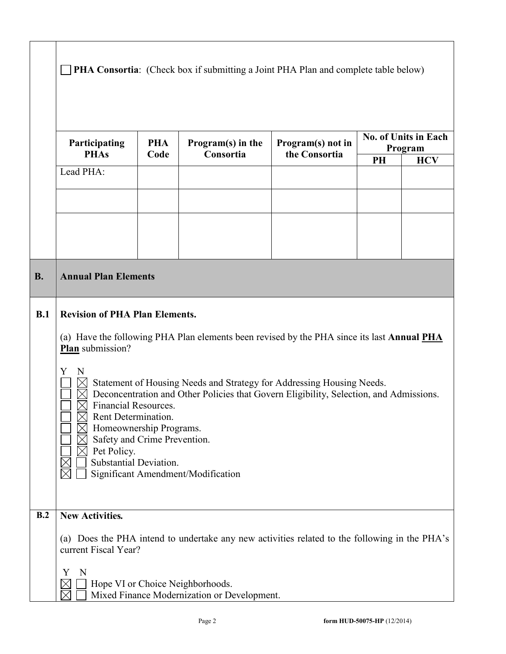|           | Participating<br><b>PHAs</b>                                                                                                                                                                     | <b>PHA</b><br>Code | Program(s) in the<br>Consortia                                                                                                                                                                        | Program(s) not in<br>the Consortia |    | <b>No. of Units in Each</b><br>Program |
|-----------|--------------------------------------------------------------------------------------------------------------------------------------------------------------------------------------------------|--------------------|-------------------------------------------------------------------------------------------------------------------------------------------------------------------------------------------------------|------------------------------------|----|----------------------------------------|
|           |                                                                                                                                                                                                  |                    |                                                                                                                                                                                                       |                                    | PH | <b>HCV</b>                             |
|           | Lead PHA:                                                                                                                                                                                        |                    |                                                                                                                                                                                                       |                                    |    |                                        |
|           |                                                                                                                                                                                                  |                    |                                                                                                                                                                                                       |                                    |    |                                        |
|           |                                                                                                                                                                                                  |                    |                                                                                                                                                                                                       |                                    |    |                                        |
| <b>B.</b> | <b>Annual Plan Elements</b>                                                                                                                                                                      |                    |                                                                                                                                                                                                       |                                    |    |                                        |
| B.1       | <b>Revision of PHA Plan Elements.</b><br>(a) Have the following PHA Plan elements been revised by the PHA since its last <b>Annual PHA</b>                                                       |                    |                                                                                                                                                                                                       |                                    |    |                                        |
|           | Plan submission?<br>N<br>Y<br><b>Financial Resources.</b><br>Rent Determination.<br>Homeownership Programs.<br>Safety and Crime Prevention.<br>$\boxtimes$ Pet Policy.<br>Substantial Deviation. |                    | Statement of Housing Needs and Strategy for Addressing Housing Needs.<br>Deconcentration and Other Policies that Govern Eligibility, Selection, and Admissions.<br>Significant Amendment/Modification |                                    |    |                                        |
| B.2       | <b>New Activities.</b><br>current Fiscal Year?                                                                                                                                                   |                    | (a) Does the PHA intend to undertake any new activities related to the following in the PHA's                                                                                                         |                                    |    |                                        |
|           | Y<br>N                                                                                                                                                                                           |                    | Hope VI or Choice Neighborhoods.<br>Mixed Finance Modernization or Development.                                                                                                                       |                                    |    |                                        |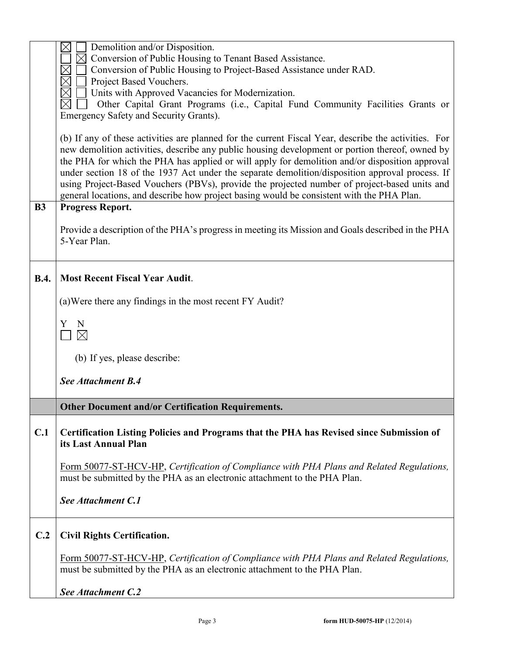|             | $\boxtimes$<br>Demolition and/or Disposition.                                                                                                                                                                                                                                                                                                                                                                                                                                                                                                                                                             |
|-------------|-----------------------------------------------------------------------------------------------------------------------------------------------------------------------------------------------------------------------------------------------------------------------------------------------------------------------------------------------------------------------------------------------------------------------------------------------------------------------------------------------------------------------------------------------------------------------------------------------------------|
|             | Conversion of Public Housing to Tenant Based Assistance.                                                                                                                                                                                                                                                                                                                                                                                                                                                                                                                                                  |
|             | Conversion of Public Housing to Project-Based Assistance under RAD.                                                                                                                                                                                                                                                                                                                                                                                                                                                                                                                                       |
|             | Project Based Vouchers.                                                                                                                                                                                                                                                                                                                                                                                                                                                                                                                                                                                   |
|             | Units with Approved Vacancies for Modernization.                                                                                                                                                                                                                                                                                                                                                                                                                                                                                                                                                          |
|             | Other Capital Grant Programs (i.e., Capital Fund Community Facilities Grants or                                                                                                                                                                                                                                                                                                                                                                                                                                                                                                                           |
|             | Emergency Safety and Security Grants).                                                                                                                                                                                                                                                                                                                                                                                                                                                                                                                                                                    |
|             | (b) If any of these activities are planned for the current Fiscal Year, describe the activities. For<br>new demolition activities, describe any public housing development or portion thereof, owned by<br>the PHA for which the PHA has applied or will apply for demolition and/or disposition approval<br>under section 18 of the 1937 Act under the separate demolition/disposition approval process. If<br>using Project-Based Vouchers (PBVs), provide the projected number of project-based units and<br>general locations, and describe how project basing would be consistent with the PHA Plan. |
| <b>B3</b>   | <b>Progress Report.</b>                                                                                                                                                                                                                                                                                                                                                                                                                                                                                                                                                                                   |
|             | Provide a description of the PHA's progress in meeting its Mission and Goals described in the PHA<br>5-Year Plan.                                                                                                                                                                                                                                                                                                                                                                                                                                                                                         |
| <b>B.4.</b> | <b>Most Recent Fiscal Year Audit.</b>                                                                                                                                                                                                                                                                                                                                                                                                                                                                                                                                                                     |
|             | (a) Were there any findings in the most recent FY Audit?                                                                                                                                                                                                                                                                                                                                                                                                                                                                                                                                                  |
|             | N<br>Y<br>$\boxtimes$                                                                                                                                                                                                                                                                                                                                                                                                                                                                                                                                                                                     |
|             | (b) If yes, please describe:                                                                                                                                                                                                                                                                                                                                                                                                                                                                                                                                                                              |
|             | See Attachment B.4                                                                                                                                                                                                                                                                                                                                                                                                                                                                                                                                                                                        |
|             | <b>Other Document and/or Certification Requirements.</b>                                                                                                                                                                                                                                                                                                                                                                                                                                                                                                                                                  |
| C.1         | Certification Listing Policies and Programs that the PHA has Revised since Submission of<br>its Last Annual Plan                                                                                                                                                                                                                                                                                                                                                                                                                                                                                          |
|             | Form 50077-ST-HCV-HP, Certification of Compliance with PHA Plans and Related Regulations,<br>must be submitted by the PHA as an electronic attachment to the PHA Plan.                                                                                                                                                                                                                                                                                                                                                                                                                                    |
|             | See Attachment C.1                                                                                                                                                                                                                                                                                                                                                                                                                                                                                                                                                                                        |
| C.2         | <b>Civil Rights Certification.</b>                                                                                                                                                                                                                                                                                                                                                                                                                                                                                                                                                                        |
|             | Form 50077-ST-HCV-HP, Certification of Compliance with PHA Plans and Related Regulations,<br>must be submitted by the PHA as an electronic attachment to the PHA Plan.                                                                                                                                                                                                                                                                                                                                                                                                                                    |
|             | See Attachment C.2                                                                                                                                                                                                                                                                                                                                                                                                                                                                                                                                                                                        |
|             |                                                                                                                                                                                                                                                                                                                                                                                                                                                                                                                                                                                                           |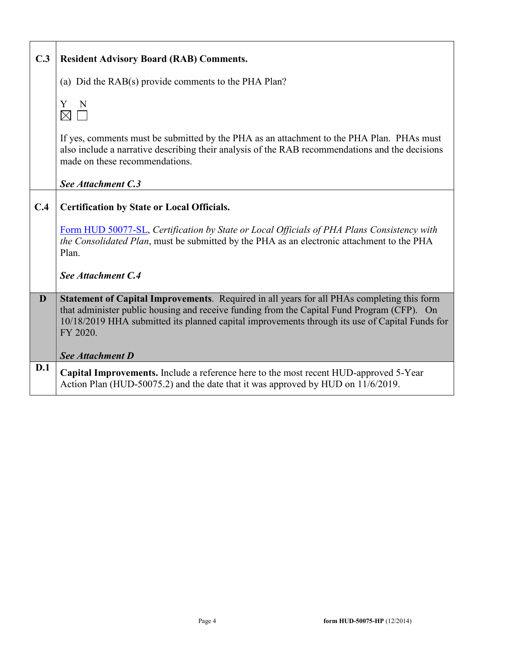| C.3 | <b>Resident Advisory Board (RAB) Comments.</b>                                                                                                                                                                                                                                                         |
|-----|--------------------------------------------------------------------------------------------------------------------------------------------------------------------------------------------------------------------------------------------------------------------------------------------------------|
|     | (a) Did the RAB(s) provide comments to the PHA Plan?                                                                                                                                                                                                                                                   |
|     | Y<br>N<br>$\boxtimes$                                                                                                                                                                                                                                                                                  |
|     | If yes, comments must be submitted by the PHA as an attachment to the PHA Plan. PHAs must<br>also include a narrative describing their analysis of the RAB recommendations and the decisions<br>made on these recommendations.                                                                         |
|     | See Attachment C.3                                                                                                                                                                                                                                                                                     |
| C.4 | <b>Certification by State or Local Officials.</b>                                                                                                                                                                                                                                                      |
|     | Form HUD 50077-SL, Certification by State or Local Officials of PHA Plans Consistency with<br>the Consolidated Plan, must be submitted by the PHA as an electronic attachment to the PHA<br>Plan.                                                                                                      |
|     | See Attachment C.4                                                                                                                                                                                                                                                                                     |
| D   | Statement of Capital Improvements. Required in all years for all PHAs completing this form<br>that administer public housing and receive funding from the Capital Fund Program (CFP). On<br>10/18/2019 HHA submitted its planned capital improvements through its use of Capital Funds for<br>FY 2020. |
|     | <b>See Attachment D</b>                                                                                                                                                                                                                                                                                |
| D.1 | Capital Improvements. Include a reference here to the most recent HUD-approved 5-Year<br>Action Plan (HUD-50075.2) and the date that it was approved by HUD on 11/6/2019.                                                                                                                              |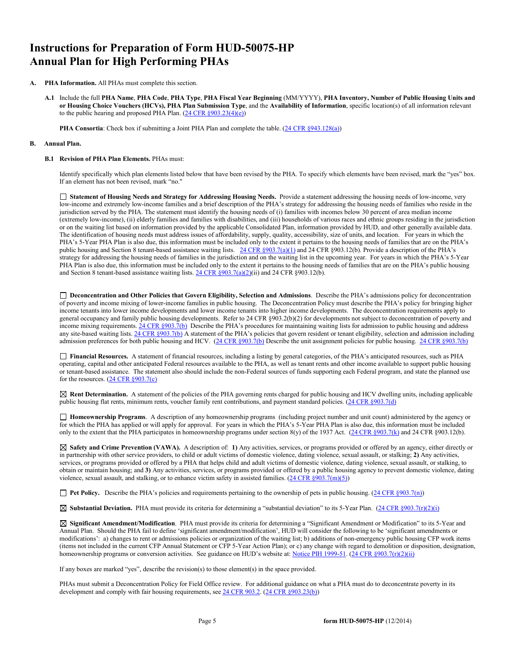# **Instructions for Preparation of Form HUD-50075-HP Annual Plan for High Performing PHAs**

- **A. PHA Information.** All PHAs must complete this section.
	- **A.1** Include the full **PHA Name**, **PHA Code**, **PHA Type**, **PHA Fiscal Year Beginning** (MM/YYYY), **PHA Inventory, Number of Public Housing Units and or Housing Choice Vouchers (HCVs), PHA Plan Submission Type**, and the **Availability of Information**, specific location(s) of all information relevant to the public hearing and proposed PHA Plan.  $(24 \text{ CFR } \S 903.23(4)(e))$

**PHA Consortia**: Check box if submitting a Joint PHA Plan and complete the table. [\(24 CFR §943.128\(a\)\)](http://ecfr.gpoaccess.gov/cgi/t/text/text-idx?c=ecfr&sid=cc31cf1c3a2b84ba4ead75d35d258f67&rgn=div5&view=text&node=24:4.0.3.1.10&idno=24#24:4.0.3.1.10.2.5.7)

#### **B. Annual Plan.**

#### **B.1 Revision of PHA Plan Elements.** PHAs must:

Identify specifically which plan elements listed below that have been revised by the PHA. To specify which elements have been revised, mark the "yes" box. If an element has not been revised, mark "no."

 **Statement of Housing Needs and Strategy for Addressing Housing Needs.** Provide a statement addressing the housing needs of low-income, very low-income and extremely low-income families and a brief description of the PHA's strategy for addressing the housing needs of families who reside in the jurisdiction served by the PHA. The statement must identify the housing needs of (i) families with incomes below 30 percent of area median income (extremely low-income), (ii) elderly families and families with disabilities, and (iii) households of various races and ethnic groups residing in the jurisdiction or on the waiting list based on information provided by the applicable Consolidated Plan, information provided by HUD, and other generally available data. The identification of housing needs must address issues of affordability, supply, quality, accessibility, size of units, and location. For years in which the PHA's 5-Year PHA Plan is also due, this information must be included only to the extent it pertains to the housing needs of families that are on the PHA's public housing and Section 8 tenant-based assistance waiting lists. [24 CFR §903.7\(a\)\(1\)](http://ecfr.gpoaccess.gov/cgi/t/text/text-idx?c=ecfr&sid=13734845220744370804c20da2294a03&rgn=div5&view=text&node=24:4.0.3.1.3&idno=24#24:4.0.3.1.3.2.5.5) and 24 CFR §903.12(b). Provide a description of the PHA's strategy for addressing the housing needs of families in the jurisdiction and on the waiting list in the upcoming year. For years in which the PHA's 5-Year PHA Plan is also due, this information must be included only to the extent it pertains to the housing needs of families that are on the PHA's public housing and Section 8 tenant-based assistance waiting lists. [24 CFR §903.7\(a\)\(2\)\(](http://ecfr.gpoaccess.gov/cgi/t/text/text-idx?c=ecfr&sid=13734845220744370804c20da2294a03&rgn=div5&view=text&node=24:4.0.3.1.3&idno=24#24:4.0.3.1.3.2.5.5)ii) and 24 CFR §903.12(b).

 **Deconcentration and Other Policies that Govern Eligibility, Selection and Admissions**. Describe the PHA's admissions policy for deconcentration of poverty and income mixing of lower-income families in public housing. The Deconcentration Policy must describe the PHA's policy for bringing higher income tenants into lower income developments and lower income tenants into higher income developments. The deconcentration requirements apply to general occupancy and family public housing developments. Refer to 24 CFR §903.2(b)(2) for developments not subject to deconcentration of poverty and income mixing requirements[. 24 CFR §903.7\(b\)](http://ecfr.gpoaccess.gov/cgi/t/text/text-idx?c=ecfr&sid=b44bf19bef93dd31287608d2c687e271&rgn=div5&view=text&node=24:4.0.3.1.3&idno=24#24:4.0.3.1.3.2.5.5) Describe the PHA's procedures for maintaining waiting lists for admission to public housing and address any site-based waiting lists[. 24 CFR §903.7\(b\)](http://ecfr.gpoaccess.gov/cgi/t/text/text-idx?c=ecfr&sid=b44bf19bef93dd31287608d2c687e271&rgn=div5&view=text&node=24:4.0.3.1.3&idno=24#24:4.0.3.1.3.2.5.5) A statement of the PHA's policies that govern resident or tenant eligibility, selection and admission including admission preferences for both public housing and HCV. [\(24 CFR §903.7\(b\)](http://ecfr.gpoaccess.gov/cgi/t/text/text-idx?c=ecfr&sid=b44bf19bef93dd31287608d2c687e271&rgn=div5&view=text&node=24:4.0.3.1.3&idno=24#24:4.0.3.1.3.2.5.5) Describe the unit assignment policies for public housing. [24 CFR §903.7\(b\)](http://ecfr.gpoaccess.gov/cgi/t/text/text-idx?c=ecfr&sid=b44bf19bef93dd31287608d2c687e271&rgn=div5&view=text&node=24:4.0.3.1.3&idno=24#24:4.0.3.1.3.2.5.5)

 **Financial Resources.** A statement of financial resources, including a listing by general categories, of the PHA's anticipated resources, such as PHA operating, capital and other anticipated Federal resources available to the PHA, as well as tenant rents and other income available to support public housing or tenant-based assistance. The statement also should include the non-Federal sources of funds supporting each Federal program, and state the planned use for the resources. [\(24 CFR §903.7\(c\)](http://ecfr.gpoaccess.gov/cgi/t/text/text-idx?c=ecfr&sid=b44bf19bef93dd31287608d2c687e271&rgn=div5&view=text&node=24:4.0.3.1.3&idno=24)

 **Rent Determination.** A statement of the policies of the PHA governing rents charged for public housing and HCV dwelling units, including applicable public housing flat rents, minimum rents, voucher family rent contributions, and payment standard policies. [\(24 CFR §903.7\(d\)](http://ecfr.gpoaccess.gov/cgi/t/text/text-idx?c=ecfr&sid=b44bf19bef93dd31287608d2c687e271&rgn=div5&view=text&node=24:4.0.3.1.3&idno=24#24:4.0.3.1.3.2.5.5)

 **Homeownership Programs**. A description of any homeownership programs (including project number and unit count) administered by the agency or for which the PHA has applied or will apply for approval. For years in which the PHA's 5-Year PHA Plan is also due, this information must be included only to the extent that the PHA participates in homeownership programs under section 8(y) of the 1937 Act. [\(24 CFR §903.7\(k\)](http://ecfr.gpoaccess.gov/cgi/t/text/text-idx?c=ecfr&sid=b44bf19bef93dd31287608d2c687e271&rgn=div5&view=text&node=24:4.0.3.1.3&idno=24#24:4.0.3.1.3.2.5.5) and 24 CFR §903.12(b).

 **Safety and Crime Prevention (VAWA).** A description of: **1)** Any activities, services, or programs provided or offered by an agency, either directly or in partnership with other service providers, to child or adult victims of domestic violence, dating violence, sexual assault, or stalking; **2)** Any activities, services, or programs provided or offered by a PHA that helps child and adult victims of domestic violence, dating violence, sexual assault, or stalking, to obtain or maintain housing; and **3)** Any activities, services, or programs provided or offered by a public housing agency to prevent domestic violence, dating violence, sexual assault, and stalking, or to enhance victim safety in assisted families.  $(24 \text{ CFR } \text{\textless} 903.7(m)(5))$ 

**Pet Policy.** Describe the PHA's policies and requirements pertaining to the ownership of pets in public housing. [\(24 CFR §903.7\(n\)\)](http://ecfr.gpoaccess.gov/cgi/t/text/text-idx?c=ecfr&sid=13734845220744370804c20da2294a03&rgn=div5&view=text&node=24:4.0.3.1.3&idno=24#24:4.0.3.1.3.2.5.5)

**Substantial Deviation.** PHA must provide its criteria for determining a "substantial deviation" to its 5-Year Plan. [\(24 CFR §903.7\(r\)\(2\)\(i\)](http://ecfr.gpoaccess.gov/cgi/t/text/text-idx?c=ecfr&sid=13734845220744370804c20da2294a03&rgn=div5&view=text&node=24:4.0.3.1.3&idno=24#24:4.0.3.1.3.2.5.5) 

 **Significant Amendment/Modification**. PHA must provide its criteria for determining a "Significant Amendment or Modification" to its 5-Year and Annual Plan. Should the PHA fail to define 'significant amendment/modification', HUD will consider the following to be 'significant amendments or modifications': a) changes to rent or admissions policies or organization of the waiting list; b) additions of non-emergency public housing CFP work items (items not included in the current CFP Annual Statement or CFP 5-Year Action Plan); or c) any change with regard to demolition or disposition, designation, homeownership programs or conversion activities. See guidance on HUD's website at: [Notice PIH 1999-51.](http://portal.hud.gov/hudportal/HUD?src=/program_offices/administration/hudclips/notices/pih) (24 CFR §903.7(r)(2)(ii)

If any boxes are marked "yes", describe the revision(s) to those element(s) in the space provided.

PHAs must submit a Deconcentration Policy for Field Office review. For additional guidance on what a PHA must do to deconcentrate poverty in its development and comply with fair housing requirements, se[e 24 CFR 903.2.](http://ecfr.gpoaccess.gov/cgi/t/text/text-idx?c=ecfr&sid=31b6a8e6f1110b36cc115eb6e4d5e3b4&rgn=div5&view=text&node=24:4.0.3.1.3&idno=24#24:4.0.3.1.3.1.5.2) [\(24 CFR §903.23\(b\)\)](http://ecfr.gpoaccess.gov/cgi/t/text/text-idx?c=ecfr&sid=13734845220744370804c20da2294a03&rgn=div5&view=text&node=24:4.0.3.1.3&idno=24#24:4.0.3.1.3.2.5.9)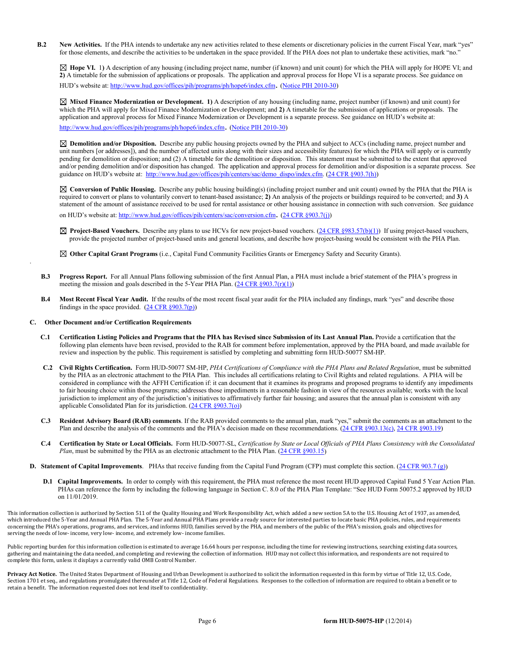**B.2** New Activities. If the PHA intends to undertake any new activities related to these elements or discretionary policies in the current Fiscal Year, mark "yes" for those elements, and describe the activities to be undertaken in the space provided. If the PHA does not plan to undertake these activities, mark "no."

 **Hope VI.** 1**)** A description of any housing (including project name, number (if known) and unit count) for which the PHA will apply for HOPE VI; and **2)** A timetable for the submission of applications or proposals. The application and approval process for Hope VI is a separate process. See guidance on HUD's website at[: http://www.hud.gov/offices/pih/programs/ph/hope6/index.cfm.](http://www.hud.gov/offices/pih/programs/ph/hope6/index.cfm) [\(Notice PIH 2010-30\)](http://www.hud.gov/offices/adm/hudclips/notices/pih/07pihnotices.cfm)

 **Mixed Finance Modernization or Development. 1)** A description of any housing (including name, project number (if known) and unit count) for which the PHA will apply for Mixed Finance Modernization or Development; and **2)** A timetable for the submission of applications or proposals. The application and approval process for Mixed Finance Modernization or Development is a separate process. See guidance on HUD's website at:

[http://www.hud.gov/offices/pih/programs/ph/hope6/index.cfm.](http://www.hud.gov/offices/pih/programs/ph/hope6/index.cfm) [\(Notice PIH 2010-30\)](http://www.hud.gov/offices/adm/hudclips/notices/pih/07pihnotices.cfm)

 **Demolition and/or Disposition.** Describe any public housing projects owned by the PHA and subject to ACCs (including name, project number and unit numbers [or addresses]), and the number of affected units along with their sizes and accessibility features) for which the PHA will apply or is currently pending for demolition or disposition; and (2) A timetable for the demolition or disposition. This statement must be submitted to the extent that approved and/or pending demolition and/or disposition has changed. The application and approval process for demolition and/or disposition is a separate process. See guidance on HUD's website at: [http://www.hud.gov/offices/pih/centers/sac/demo\\_dispo/index.cfm.](http://www.hud.gov/offices/pih/centers/sac/demo_dispo/index.cfm) [\(24 CFR §903.7\(h\)\)](http://ecfr.gpoaccess.gov/cgi/t/text/text-idx?c=ecfr&sid=13734845220744370804c20da2294a03&rgn=div5&view=text&node=24:4.0.3.1.3&idno=24#24:4.0.3.1.3.2.5.5)

**Conversion of Public Housing.** Describe any public housing building(s) (including project number and unit count) owned by the PHA that the PHA is required to convert or plans to voluntarily convert to tenant-based assistance; **2)** An analysis of the projects or buildings required to be converted; and **3)** A statement of the amount of assistance received to be used for rental assistance or other housing assistance in connection with such conversion. See guidance on HUD's website at[: http://www.hud.gov/offices/pih/centers/sac/conversion.cfm.](http://www.hud.gov/offices/pih/centers/sac/conversion.cfm) [\(24 CFR §903.7\(j\)\)](http://ecfr.gpoaccess.gov/cgi/t/text/text-idx?c=ecfr&sid=13734845220744370804c20da2294a03&rgn=div5&view=text&node=24:4.0.3.1.3&idno=24#24:4.0.3.1.3.2.5.5)

**Project-Based Vouchers.** Describe any plans to use HCVs for new project-based vouchers. [\(24 CFR §983.57\(b\)\(1\)\)](http://ecfr.gpoaccess.gov/cgi/t/text/text-idx?c=ecfr&sid=b44bf19bef93dd31287608d2c687e271&rgn=div5&view=text&node=24:4.0.3.1.24&idno=24#24:4.0.3.1.24.2.41.7) If using project-based vouchers, provide the projected number of project-based units and general locations, and describe how project-basing would be consistent with the PHA Plan.

**Other Capital Grant Programs** (i.e., Capital Fund Community Facilities Grants or Emergency Safety and Security Grants).

- **B.3 Progress Report.** For all Annual Plans following submission of the first Annual Plan, a PHA must include a brief statement of the PHA's progress in meeting the mission and goals described in the 5-Year PHA Plan.  $(24 \text{ CFR } \S 903.7(\text{r})(1))$
- **B.4 Most Recent Fiscal Year Audit.** If the results of the most recent fiscal year audit for the PHA included any findings, mark "yes" and describe those findings in the space provided.  $(24 \text{ CFR } \S 903.7(p))$

#### **C. Other Document and/or Certification Requirements**

.

- **C.1 Certification Listing Policies and Programs that the PHA has Revised since Submission of its Last Annual Plan.** Provide a certification that the following plan elements have been revised, provided to the RAB for comment before implementation, approved by the PHA board, and made available for review and inspection by the public. This requirement is satisfied by completing and submitting form HUD-50077 SM-HP.
- **C.2 Civil Rights Certification.** Form HUD-50077 SM-HP, *PHA Certifications of Compliance with the PHA Plans and Related Regulation*, must be submitted by the PHA as an electronic attachment to the PHA Plan. This includes all certifications relating to Civil Rights and related regulations. A PHA will be considered in compliance with the AFFH Certification if: it can document that it examines its programs and proposed programs to identify any impediments to fair housing choice within those programs; addresses those impediments in a reasonable fashion in view of the resources available; works with the local jurisdiction to implement any of the jurisdiction's initiatives to affirmatively further fair housing; and assures that the annual plan is consistent with any applicable Consolidated Plan for its jurisdiction. [\(24 CFR §903.7\(o\)\)](http://ecfr.gpoaccess.gov/cgi/t/text/text-idx?c=ecfr&sid=13734845220744370804c20da2294a03&rgn=div5&view=text&node=24:4.0.3.1.3&idno=24#24:4.0.3.1.3.2.5.5)
- **C.3 Resident Advisory Board (RAB) comments**. If the RAB provided comments to the annual plan, mark "yes," submit the comments as an attachment to the Plan and describe the analysis of the comments and the PHA's decision made on these recommendations. [\(24 CFR §903.13\(c\),](http://ecfr.gpoaccess.gov/cgi/t/text/text-idx?c=ecfr&sid=13734845220744370804c20da2294a03&rgn=div5&view=text&node=24:4.0.3.1.3&idno=24#24:4.0.3.1.3.2.5.9) [24 CFR §903.19\)](http://ecfr.gpoaccess.gov/cgi/t/text/text-idx?c=ecfr&sid=f41eb312b1425d2a95a2478fde61e11f&rgn=div5&view=text&node=24:4.0.3.1.3&idno=24#24:4.0.3.1.3.2.5.12)
- **C.4 Certification by State or Local Officials.** Form HUD-50077-SL, *Certification by State or Local Officials of PHA Plans Consistency with the Consolidated Plan*, must be submitted by the PHA as an electronic attachment to the PHA Plan. [\(24 CFR §903.15\)](http://ecfr.gpoaccess.gov/cgi/t/text/text-idx?c=ecfr&sid=929855241bbc0873ac4be47579a4d2bf&rgn=div5&view=text&node=24:4.0.3.1.3&idno=24#24:4.0.3.1.3.2.5.10)
- **D. Statement of Capital Improvements**. PHAs that receive funding from the Capital Fund Program (CFP) must complete this section. [\(24 CFR 903.7 \(g\)\)](http://ecfr.gpoaccess.gov/cgi/t/text/text-idx?c=ecfr&sid=0885bb33f96a064e6519e07d66d87fd6&rgn=div5&view=text&node=24:4.0.3.1.3&idno=24#24:4.0.3.1.3.2.5.5)
	- **D.1 Capital Improvements.** In order to comply with this requirement, the PHA must reference the most recent HUD approved Capital Fund 5 Year Action Plan. PHAs can reference the form by including the following language in Section C. 8.0 of the PHA Plan Template: "See HUD Form 50075.2 approved by HUD on 11/01/2019.

This information collection is authorized by Section 511 of the Quality Housing and Work Responsibility Act, which added a new section 5A to the U.S. Housing Act of 1937, as amended, which introduced the 5-Year and Annual PHA Plan. The 5-Year and Annual PHA Plans provide a ready source for interested parties to locate basic PHA policies, rules, and requirements concerning the PHA's operations, programs, and services, and informs HUD, families served by the PHA, and members of the public of the PHA's mission, goals and objectives for serving the needs of low- income, very low- income, and extremely low- income families.

Public reporting burden for this information collection is estimated to average 16.64 hours per response, including the time for reviewing instructions, searching existing data sources, gathering and maintaining the data needed, and completing and reviewing the collection of information. HUD may not collect this information, and respondents are not required to complete this form, unless it displays a currently valid OMB Control Number.

Privacy Act Notice. The United States Department of Housing and Urban Development is authorized to solicit the information requested in this form by virtue of Title 12, U.S. Code, Section 1701 et seq., and regulations promulgated thereunder at Title 12, Code of Federal Regulations. Responses to the collection of information are required to obtain a benefit or to retain a benefit. The information requested does not lend itself to confidentiality.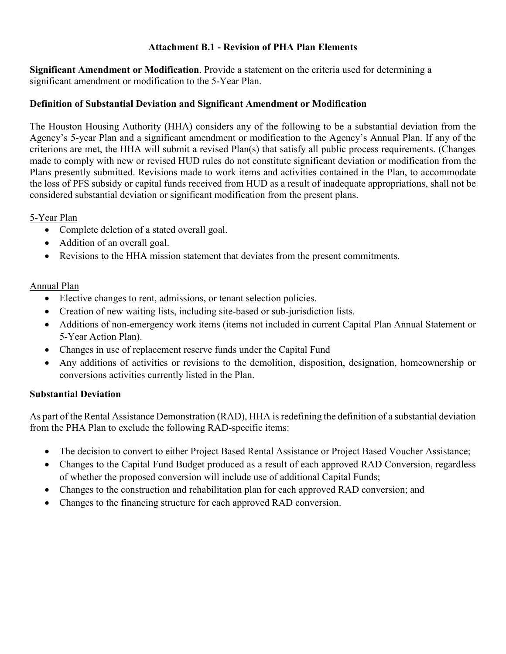### **Attachment B.1 - Revision of PHA Plan Elements**

**Significant Amendment or Modification**. Provide a statement on the criteria used for determining a significant amendment or modification to the 5-Year Plan.

#### **Definition of Substantial Deviation and Significant Amendment or Modification**

The Houston Housing Authority (HHA) considers any of the following to be a substantial deviation from the Agency's 5-year Plan and a significant amendment or modification to the Agency's Annual Plan. If any of the criterions are met, the HHA will submit a revised Plan(s) that satisfy all public process requirements. (Changes made to comply with new or revised HUD rules do not constitute significant deviation or modification from the Plans presently submitted. Revisions made to work items and activities contained in the Plan, to accommodate the loss of PFS subsidy or capital funds received from HUD as a result of inadequate appropriations, shall not be considered substantial deviation or significant modification from the present plans.

#### 5-Year Plan

- Complete deletion of a stated overall goal.
- Addition of an overall goal.
- Revisions to the HHA mission statement that deviates from the present commitments.

### Annual Plan

- Elective changes to rent, admissions, or tenant selection policies.
- Creation of new waiting lists, including site-based or sub-jurisdiction lists.
- Additions of non-emergency work items (items not included in current Capital Plan Annual Statement or 5-Year Action Plan).
- Changes in use of replacement reserve funds under the Capital Fund
- Any additions of activities or revisions to the demolition, disposition, designation, homeownership or conversions activities currently listed in the Plan.

### **Substantial Deviation**

As part of the Rental Assistance Demonstration (RAD), HHA is redefining the definition of a substantial deviation from the PHA Plan to exclude the following RAD-specific items:

- The decision to convert to either Project Based Rental Assistance or Project Based Voucher Assistance;
- Changes to the Capital Fund Budget produced as a result of each approved RAD Conversion, regardless of whether the proposed conversion will include use of additional Capital Funds;
- Changes to the construction and rehabilitation plan for each approved RAD conversion; and
- Changes to the financing structure for each approved RAD conversion.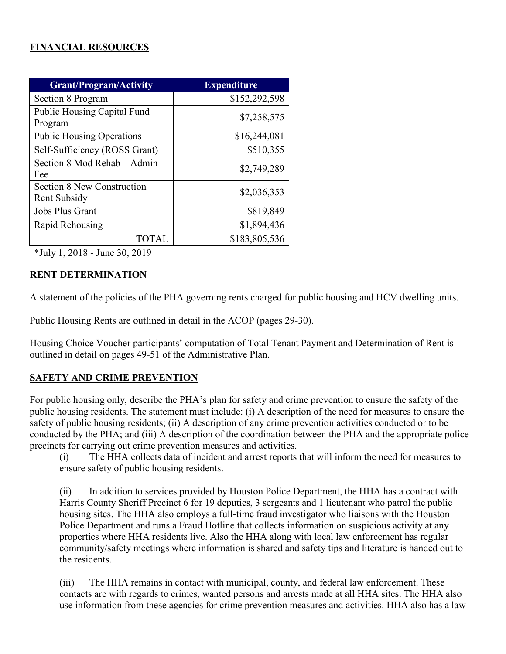# **FINANCIAL RESOURCES**

| <b>Grant/Program/Activity</b>                | <b>Expenditure</b> |
|----------------------------------------------|--------------------|
| Section 8 Program                            | \$152,292,598      |
| Public Housing Capital Fund<br>Program       | \$7,258,575        |
| <b>Public Housing Operations</b>             | \$16,244,081       |
| Self-Sufficiency (ROSS Grant)                | \$510,355          |
| Section 8 Mod Rehab – Admin<br>Fee           | \$2,749,289        |
| Section 8 New Construction -<br>Rent Subsidy | \$2,036,353        |
| Jobs Plus Grant                              | \$819,849          |
| Rapid Rehousing                              | \$1,894,436        |
| <b>TOTAL</b>                                 | \$183,805,536      |

\*July 1, 2018 - June 30, 2019

# **RENT DETERMINATION**

A statement of the policies of the PHA governing rents charged for public housing and HCV dwelling units.

Public Housing Rents are outlined in detail in the ACOP (pages 29-30).

Housing Choice Voucher participants' computation of Total Tenant Payment and Determination of Rent is outlined in detail on pages 49-51 of the Administrative Plan.

# **SAFETY AND CRIME PREVENTION**

For public housing only, describe the PHA's plan for safety and crime prevention to ensure the safety of the public housing residents. The statement must include: (i) A description of the need for measures to ensure the safety of public housing residents; (ii) A description of any crime prevention activities conducted or to be conducted by the PHA; and (iii) A description of the coordination between the PHA and the appropriate police precincts for carrying out crime prevention measures and activities.

(i) The HHA collects data of incident and arrest reports that will inform the need for measures to ensure safety of public housing residents.

(ii) In addition to services provided by Houston Police Department, the HHA has a contract with Harris County Sheriff Precinct 6 for 19 deputies, 3 sergeants and 1 lieutenant who patrol the public housing sites. The HHA also employs a full-time fraud investigator who liaisons with the Houston Police Department and runs a Fraud Hotline that collects information on suspicious activity at any properties where HHA residents live. Also the HHA along with local law enforcement has regular community/safety meetings where information is shared and safety tips and literature is handed out to the residents.

(iii) The HHA remains in contact with municipal, county, and federal law enforcement. These contacts are with regards to crimes, wanted persons and arrests made at all HHA sites. The HHA also use information from these agencies for crime prevention measures and activities. HHA also has a law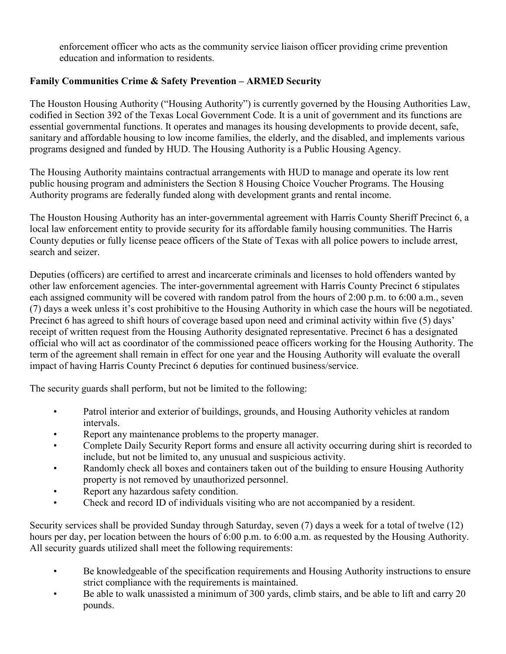enforcement officer who acts as the community service liaison officer providing crime prevention education and information to residents.

# **Family Communities Crime & Safety Prevention – ARMED Security**

The Houston Housing Authority ("Housing Authority") is currently governed by the Housing Authorities Law, codified in Section 392 of the Texas Local Government Code. It is a unit of government and its functions are essential governmental functions. It operates and manages its housing developments to provide decent, safe, sanitary and affordable housing to low income families, the elderly, and the disabled, and implements various programs designed and funded by HUD. The Housing Authority is a Public Housing Agency.

The Housing Authority maintains contractual arrangements with HUD to manage and operate its low rent public housing program and administers the Section 8 Housing Choice Voucher Programs. The Housing Authority programs are federally funded along with development grants and rental income.

The Houston Housing Authority has an inter-governmental agreement with Harris County Sheriff Precinct 6, a local law enforcement entity to provide security for its affordable family housing communities. The Harris County deputies or fully license peace officers of the State of Texas with all police powers to include arrest, search and seizer.

Deputies (officers) are certified to arrest and incarcerate criminals and licenses to hold offenders wanted by other law enforcement agencies. The inter-governmental agreement with Harris County Precinct 6 stipulates each assigned community will be covered with random patrol from the hours of 2:00 p.m. to 6:00 a.m., seven (7) days a week unless it's cost prohibitive to the Housing Authority in which case the hours will be negotiated. Precinct 6 has agreed to shift hours of coverage based upon need and criminal activity within five (5) days' receipt of written request from the Housing Authority designated representative. Precinct 6 has a designated official who will act as coordinator of the commissioned peace officers working for the Housing Authority. The term of the agreement shall remain in effect for one year and the Housing Authority will evaluate the overall impact of having Harris County Precinct 6 deputies for continued business/service.

The security guards shall perform, but not be limited to the following:

- Patrol interior and exterior of buildings, grounds, and Housing Authority vehicles at random intervals.
- Report any maintenance problems to the property manager.
- Complete Daily Security Report forms and ensure all activity occurring during shirt is recorded to include, but not be limited to, any unusual and suspicious activity.
- Randomly check all boxes and containers taken out of the building to ensure Housing Authority property is not removed by unauthorized personnel.
- Report any hazardous safety condition.
- Check and record ID of individuals visiting who are not accompanied by a resident.

Security services shall be provided Sunday through Saturday, seven (7) days a week for a total of twelve (12) hours per day, per location between the hours of 6:00 p.m. to 6:00 a.m. as requested by the Housing Authority. All security guards utilized shall meet the following requirements:

- Be knowledgeable of the specification requirements and Housing Authority instructions to ensure strict compliance with the requirements is maintained.
- Be able to walk unassisted a minimum of 300 yards, climb stairs, and be able to lift and carry 20 pounds.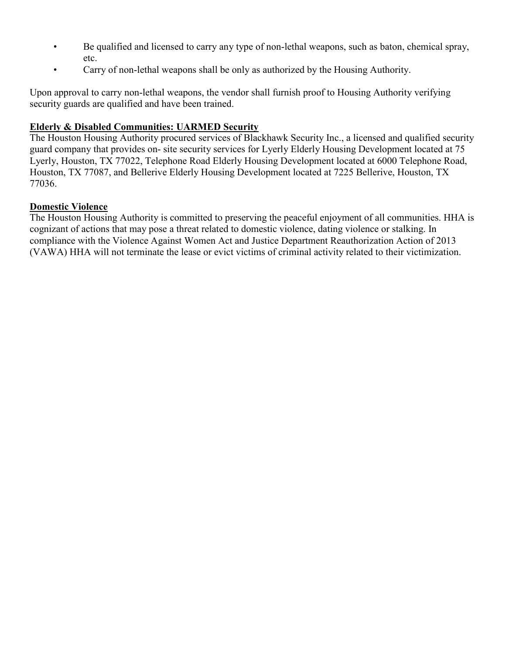- Be qualified and licensed to carry any type of non-lethal weapons, such as baton, chemical spray, etc.
- Carry of non-lethal weapons shall be only as authorized by the Housing Authority.

Upon approval to carry non-lethal weapons, the vendor shall furnish proof to Housing Authority verifying security guards are qualified and have been trained.

## **Elderly & Disabled Communities: UARMED Security**

The Houston Housing Authority procured services of Blackhawk Security Inc., a licensed and qualified security guard company that provides on- site security services for Lyerly Elderly Housing Development located at 75 Lyerly, Houston, TX 77022, Telephone Road Elderly Housing Development located at 6000 Telephone Road, Houston, TX 77087, and Bellerive Elderly Housing Development located at 7225 Bellerive, Houston, TX 77036.

### **Domestic Violence**

The Houston Housing Authority is committed to preserving the peaceful enjoyment of all communities. HHA is cognizant of actions that may pose a threat related to domestic violence, dating violence or stalking. In compliance with the Violence Against Women Act and Justice Department Reauthorization Action of 2013 (VAWA) HHA will not terminate the lease or evict victims of criminal activity related to their victimization.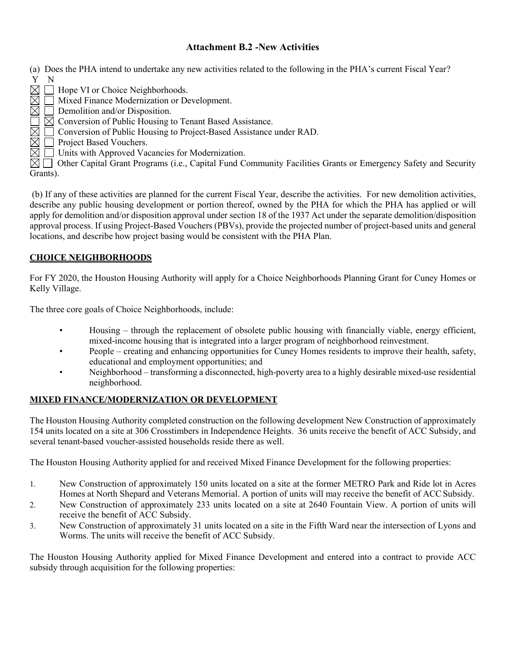### **Attachment B.2 -New Activities**

- (a) Does the PHA intend to undertake any new activities related to the following in the PHA's current Fiscal Year? Y N
- $\boxtimes \square$  Hope VI or Choice Neighborhoods.
- $\overline{\boxtimes}$   $\overline{\Box}$  Mixed Finance Modernization or Development.<br> $\overline{\boxtimes}$   $\Box$  Demolition and/or Disposition.
- $\boxtimes$   $\Box$  Demolition and/or Disposition.<br> $\Box$   $\boxtimes$  Conversion of Public Housing t
- ◯ ⊠ Conversion of Public Housing to Tenant Based Assistance.<br>⊠ ◯ Conversion of Public Housing to Project-Based Assistance
	- Conversion of Public Housing to Project-Based Assistance under RAD.
- $\boxtimes$   $\Box$  Project Based Vouchers.<br> $\boxtimes$   $\Box$  Units with Approved Vac
	- Units with Approved Vacancies for Modernization.

 $\boxtimes$   $\Box$  Other Capital Grant Programs (i.e., Capital Fund Community Facilities Grants or Emergency Safety and Security Grants).

(b) If any of these activities are planned for the current Fiscal Year, describe the activities. For new demolition activities, describe any public housing development or portion thereof, owned by the PHA for which the PHA has applied or will apply for demolition and/or disposition approval under section 18 of the 1937 Act under the separate demolition/disposition approval process. If using Project-Based Vouchers (PBVs), provide the projected number of project-based units and general locations, and describe how project basing would be consistent with the PHA Plan.

#### **CHOICE NEIGHBORHOODS**

For FY 2020, the Houston Housing Authority will apply for a Choice Neighborhoods Planning Grant for Cuney Homes or Kelly Village.

The three core goals of Choice Neighborhoods, include:

- Housing through the replacement of obsolete public housing with financially viable, energy efficient, mixed-income housing that is integrated into a larger program of neighborhood reinvestment.
- People creating and enhancing opportunities for Cuney Homes residents to improve their health, safety, educational and employment opportunities; and
- Neighborhood transforming a disconnected, high-poverty area to a highly desirable mixed-use residential neighborhood.

#### **MIXED FINANCE/MODERNIZATION OR DEVELOPMENT**

The Houston Housing Authority completed construction on the following development New Construction of approximately 154 units located on a site at 306 Crosstimbers in Independence Heights. 36 units receive the benefit of ACC Subsidy, and several tenant-based voucher-assisted households reside there as well.

The Houston Housing Authority applied for and received Mixed Finance Development for the following properties:

- 1. New Construction of approximately 150 units located on a site at the former METRO Park and Ride lot in Acres Homes at North Shepard and Veterans Memorial. A portion of units will may receive the benefit of ACCSubsidy.
- 2. New Construction of approximately 233 units located on a site at 2640 Fountain View. A portion of units will receive the benefit of ACC Subsidy.
- 3. New Construction of approximately 31 units located on a site in the Fifth Ward near the intersection of Lyons and Worms. The units will receive the benefit of ACC Subsidy.

The Houston Housing Authority applied for Mixed Finance Development and entered into a contract to provide ACC subsidy through acquisition for the following properties: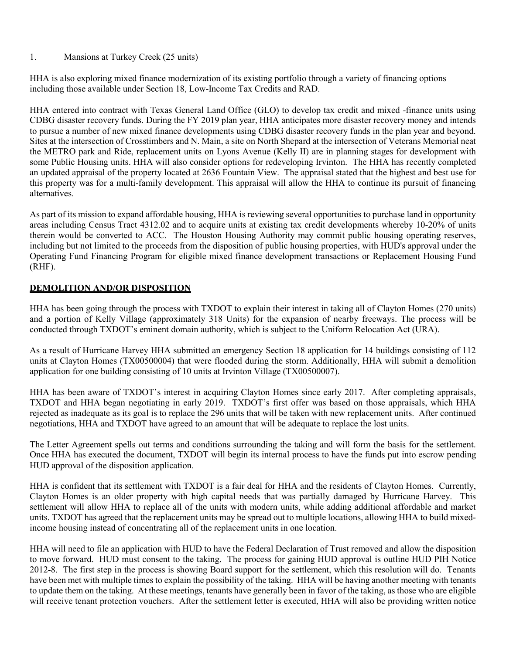#### 1. Mansions at Turkey Creek (25 units)

HHA is also exploring mixed finance modernization of its existing portfolio through a variety of financing options including those available under Section 18, Low-Income Tax Credits and RAD.

HHA entered into contract with Texas General Land Office (GLO) to develop tax credit and mixed -finance units using CDBG disaster recovery funds. During the FY 2019 plan year, HHA anticipates more disaster recovery money and intends to pursue a number of new mixed finance developments using CDBG disaster recovery funds in the plan year and beyond. Sites at the intersection of Crosstimbers and N. Main, a site on North Shepard at the intersection of Veterans Memorial neat the METRO park and Ride, replacement units on Lyons Avenue (Kelly II) are in planning stages for development with some Public Housing units. HHA will also consider options for redeveloping Irvinton. The HHA has recently completed an updated appraisal of the property located at 2636 Fountain View. The appraisal stated that the highest and best use for this property was for a multi-family development. This appraisal will allow the HHA to continue its pursuit of financing alternatives.

As part of its mission to expand affordable housing, HHA is reviewing several opportunities to purchase land in opportunity areas including Census Tract 4312.02 and to acquire units at existing tax credit developments whereby 10-20% of units therein would be converted to ACC. The Houston Housing Authority may commit public housing operating reserves, including but not limited to the proceeds from the disposition of public housing properties, with HUD's approval under the Operating Fund Financing Program for eligible mixed finance development transactions or Replacement Housing Fund (RHF).

#### **DEMOLITION AND/OR DISPOSITION**

HHA has been going through the process with TXDOT to explain their interest in taking all of Clayton Homes (270 units) and a portion of Kelly Village (approximately 318 Units) for the expansion of nearby freeways. The process will be conducted through TXDOT's eminent domain authority, which is subject to the Uniform Relocation Act (URA).

As a result of Hurricane Harvey HHA submitted an emergency Section 18 application for 14 buildings consisting of 112 units at Clayton Homes (TX00500004) that were flooded during the storm. Additionally, HHA will submit a demolition application for one building consisting of 10 units at Irvinton Village (TX00500007).

HHA has been aware of TXDOT's interest in acquiring Clayton Homes since early 2017. After completing appraisals, TXDOT and HHA began negotiating in early 2019. TXDOT's first offer was based on those appraisals, which HHA rejected as inadequate as its goal is to replace the 296 units that will be taken with new replacement units. After continued negotiations, HHA and TXDOT have agreed to an amount that will be adequate to replace the lost units.

The Letter Agreement spells out terms and conditions surrounding the taking and will form the basis for the settlement. Once HHA has executed the document, TXDOT will begin its internal process to have the funds put into escrow pending HUD approval of the disposition application.

HHA is confident that its settlement with TXDOT is a fair deal for HHA and the residents of Clayton Homes. Currently, Clayton Homes is an older property with high capital needs that was partially damaged by Hurricane Harvey. This settlement will allow HHA to replace all of the units with modern units, while adding additional affordable and market units. TXDOT has agreed that the replacement units may be spread out to multiple locations, allowing HHA to build mixedincome housing instead of concentrating all of the replacement units in one location.

HHA will need to file an application with HUD to have the Federal Declaration of Trust removed and allow the disposition to move forward. HUD must consent to the taking. The process for gaining HUD approval is outline HUD PIH Notice 2012-8. The first step in the process is showing Board support for the settlement, which this resolution will do. Tenants have been met with multiple times to explain the possibility of the taking. HHA will be having another meeting with tenants to update them on the taking. At these meetings, tenants have generally been in favor of the taking, as those who are eligible will receive tenant protection vouchers. After the settlement letter is executed, HHA will also be providing written notice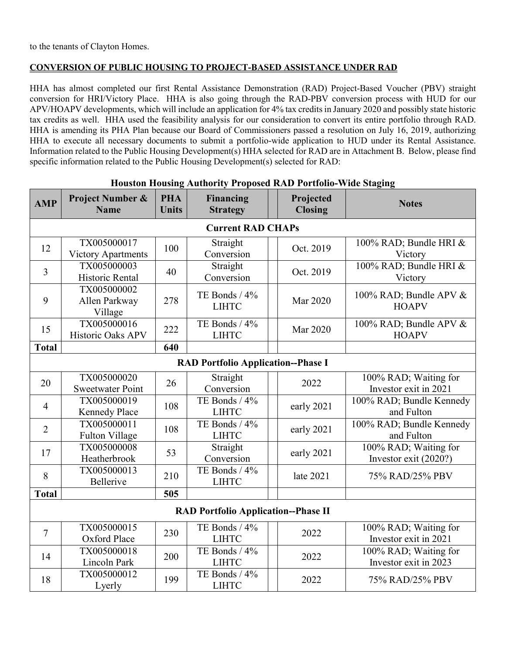#### **CONVERSION OF PUBLIC HOUSING TO PROJECT-BASED ASSISTANCE UNDER RAD**

HHA has almost completed our first Rental Assistance Demonstration (RAD) Project-Based Voucher (PBV) straight conversion for HRI/Victory Place. HHA is also going through the RAD-PBV conversion process with HUD for our APV/HOAPV developments, which will include an application for 4% tax credits in January 2020 and possibly state historic tax credits as well. HHA used the feasibility analysis for our consideration to convert its entire portfolio through RAD. HHA is amending its PHA Plan because our Board of Commissioners passed a resolution on July 16, 2019, authorizing HHA to execute all necessary documents to submit a portfolio-wide application to HUD under its Rental Assistance. Information related to the Public Housing Development(s) HHA selected for RAD are in Attachment B. Below, please find specific information related to the Public Housing Development(s) selected for RAD:

| <b>AMP</b>     | <b>Project Number &amp;</b><br><b>Name</b> | <b>PHA</b><br><b>Units</b> | Financing<br><b>Strategy</b>               |  | Projected<br><b>Closing</b> | <b>Notes</b>                                     |  |
|----------------|--------------------------------------------|----------------------------|--------------------------------------------|--|-----------------------------|--------------------------------------------------|--|
|                |                                            |                            | <b>Current RAD CHAPs</b>                   |  |                             |                                                  |  |
| 12             | TX005000017<br><b>Victory Apartments</b>   | 100                        | Straight<br>Conversion                     |  | Oct. 2019                   | 100% RAD; Bundle HRI &<br>Victory                |  |
| $\overline{3}$ | TX005000003<br>Historic Rental             | 40                         | Straight<br>Conversion                     |  | Oct. 2019                   | 100% RAD; Bundle HRI &<br>Victory                |  |
| 9              | TX005000002<br>Allen Parkway<br>Village    | 278                        | TE Bonds / 4%<br><b>LIHTC</b>              |  | <b>Mar 2020</b>             | 100% RAD; Bundle APV &<br><b>HOAPV</b>           |  |
| 15             | TX005000016<br>Historic Oaks APV           | 222                        | TE Bonds / 4%<br><b>LIHTC</b>              |  | Mar 2020                    | 100% RAD; Bundle APV &<br><b>HOAPV</b>           |  |
| <b>Total</b>   |                                            | 640                        |                                            |  |                             |                                                  |  |
|                | <b>RAD Portfolio Application--Phase I</b>  |                            |                                            |  |                             |                                                  |  |
| 20             | TX005000020<br><b>Sweetwater Point</b>     | 26                         | Straight<br>Conversion                     |  | 2022                        | 100% RAD; Waiting for<br>Investor exit in 2021   |  |
| $\overline{4}$ | TX005000019<br><b>Kennedy Place</b>        | 108                        | TE Bonds / 4%<br><b>LIHTC</b>              |  | early 2021                  | 100% RAD; Bundle Kennedy<br>and Fulton           |  |
| $\overline{2}$ | TX005000011<br>Fulton Village              | 108                        | TE Bonds / 4%<br><b>LIHTC</b>              |  | early 2021                  | 100% RAD; Bundle Kennedy<br>and Fulton           |  |
| 17             | TX005000008<br>Heatherbrook                | 53                         | Straight<br>Conversion                     |  | early 2021                  | 100% RAD; Waiting for<br>Investor exit $(2020?)$ |  |
| 8              | TX005000013<br>Bellerive                   | 210                        | TE Bonds / 4%<br><b>LIHTC</b>              |  | late 2021                   | 75% RAD/25% PBV                                  |  |
| <b>Total</b>   |                                            | 505                        |                                            |  |                             |                                                  |  |
|                |                                            |                            | <b>RAD Portfolio Application--Phase II</b> |  |                             |                                                  |  |
| $\tau$         | TX005000015<br>Oxford Place                | 230                        | TE Bonds / 4%<br><b>LIHTC</b>              |  | 2022                        | 100% RAD; Waiting for<br>Investor exit in 2021   |  |
| 14             | TX005000018<br>Lincoln Park                | 200                        | TE Bonds / 4%<br><b>LIHTC</b>              |  | 2022                        | 100% RAD; Waiting for<br>Investor exit in 2023   |  |
| 18             | TX005000012<br>Lyerly                      | 199                        | TE Bonds / 4%<br><b>LIHTC</b>              |  | 2022                        | 75% RAD/25% PBV                                  |  |

#### **Houston Housing Authority Proposed RAD Portfolio-Wide Staging**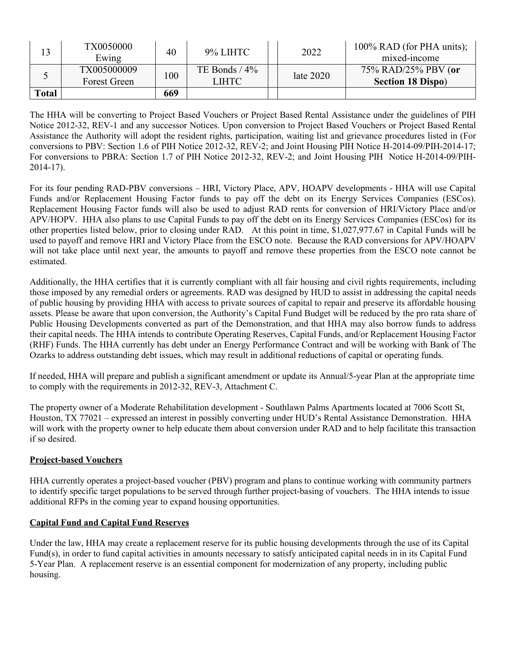|              | TX0050000<br>Ewing                 | 40  | 9% LIHTC                 | 2022        | 100% RAD (for PHA units);<br>mixed-income       |
|--------------|------------------------------------|-----|--------------------------|-------------|-------------------------------------------------|
|              | TX005000009<br><b>Forest Green</b> | 100 | TE Bonds $/4\%$<br>LIHTC | late $2020$ | 75% RAD/25% PBV (or<br><b>Section 18 Dispo)</b> |
| <b>Total</b> |                                    | 669 |                          |             |                                                 |

The HHA will be converting to Project Based Vouchers or Project Based Rental Assistance under the guidelines of PIH Notice 2012-32, REV-1 and any successor Notices. Upon conversion to Project Based Vouchers or Project Based Rental Assistance the Authority will adopt the resident rights, participation, waiting list and grievance procedures listed in (For conversions to PBV: Section 1.6 of PIH Notice 2012-32, REV-2; and Joint Housing PIH Notice H-2014-09/PIH-2014-17; For conversions to PBRA: Section 1.7 of PIH Notice 2012-32, REV-2; and Joint Housing PIH Notice H-2014-09/PIH-2014-17).

For its four pending RAD-PBV conversions – HRI, Victory Place, APV, HOAPV developments - HHA will use Capital Funds and/or Replacement Housing Factor funds to pay off the debt on its Energy Services Companies (ESCos). Replacement Housing Factor funds will also be used to adjust RAD rents for conversion of HRI/Victory Place and/or APV/HOPV. HHA also plans to use Capital Funds to pay off the debt on its Energy Services Companies (ESCos) for its other properties listed below, prior to closing under RAD. At this point in time, \$1,027,977.67 in Capital Funds will be used to payoff and remove HRI and Victory Place from the ESCO note. Because the RAD conversions for APV/HOAPV will not take place until next year, the amounts to payoff and remove these properties from the ESCO note cannot be estimated.

Additionally, the HHA certifies that it is currently compliant with all fair housing and civil rights requirements, including those imposed by any remedial orders or agreements. RAD was designed by HUD to assist in addressing the capital needs of public housing by providing HHA with access to private sources of capital to repair and preserve its affordable housing assets. Please be aware that upon conversion, the Authority's Capital Fund Budget will be reduced by the pro rata share of Public Housing Developments converted as part of the Demonstration, and that HHA may also borrow funds to address their capital needs. The HHA intends to contribute Operating Reserves, Capital Funds, and/or Replacement Housing Factor (RHF) Funds. The HHA currently has debt under an Energy Performance Contract and will be working with Bank of The Ozarks to address outstanding debt issues, which may result in additional reductions of capital or operating funds.

If needed, HHA will prepare and publish a significant amendment or update its Annual/5-year Plan at the appropriate time to comply with the requirements in 2012-32, REV-3, Attachment C.

The property owner of a Moderate Rehabilitation development - Southlawn Palms Apartments located at 7006 Scott St, Houston, TX 77021 – expressed an interest in possibly converting under HUD's Rental Assistance Demonstration. HHA will work with the property owner to help educate them about conversion under RAD and to help facilitate this transaction if so desired.

#### **Project-based Vouchers**

HHA currently operates a project-based voucher (PBV) program and plans to continue working with community partners to identify specific target populations to be served through further project-basing of vouchers. The HHA intends to issue additional RFPs in the coming year to expand housing opportunities.

#### **Capital Fund and Capital Fund Reserves**

Under the law, HHA may create a replacement reserve for its public housing developments through the use of its Capital Fund(s), in order to fund capital activities in amounts necessary to satisfy anticipated capital needs in in its Capital Fund 5-Year Plan. A replacement reserve is an essential component for modernization of any property, including public housing.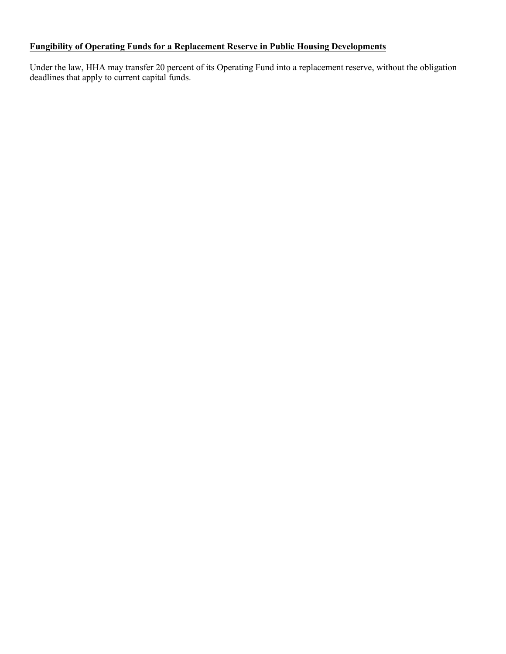### **Fungibility of Operating Funds for a Replacement Reserve in Public Housing Developments**

Under the law, HHA may transfer 20 percent of its Operating Fund into a replacement reserve, without the obligation deadlines that apply to current capital funds.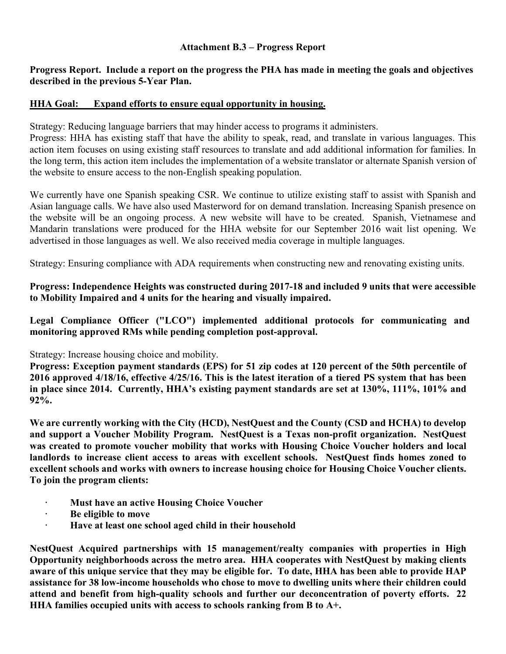#### **Attachment B.3 – Progress Report**

#### **Progress Report. Include a report on the progress the PHA has made in meeting the goals and objectives described in the previous 5-Year Plan.**

#### **HHA Goal: Expand efforts to ensure equal opportunity in housing.**

Strategy: Reducing language barriers that may hinder access to programs it administers.

Progress: HHA has existing staff that have the ability to speak, read, and translate in various languages. This action item focuses on using existing staff resources to translate and add additional information for families. In the long term, this action item includes the implementation of a website translator or alternate Spanish version of the website to ensure access to the non-English speaking population.

We currently have one Spanish speaking CSR. We continue to utilize existing staff to assist with Spanish and Asian language calls. We have also used Masterword for on demand translation. Increasing Spanish presence on the website will be an ongoing process. A new website will have to be created. Spanish, Vietnamese and Mandarin translations were produced for the HHA website for our September 2016 wait list opening. We advertised in those languages as well. We also received media coverage in multiple languages.

Strategy: Ensuring compliance with ADA requirements when constructing new and renovating existing units.

**Progress: Independence Heights was constructed during 2017-18 and included 9 units that were accessible to Mobility Impaired and 4 units for the hearing and visually impaired.**

**Legal Compliance Officer ("LCO") implemented additional protocols for communicating and monitoring approved RMs while pending completion post-approval.**

#### Strategy: Increase housing choice and mobility.

**Progress: Exception payment standards (EPS) for 51 zip codes at 120 percent of the 50th percentile of 2016 approved 4/18/16, effective 4/25/16. This is the latest iteration of a tiered PS system that has been in place since 2014. Currently, HHA's existing payment standards are set at 130%, 111%, 101% and 92%.** 

**We are currently working with the City (HCD), NestQuest and the County (CSD and HCHA) to develop and support a Voucher Mobility Program. NestQuest is a Texas non-profit organization. NestQuest was created to promote voucher mobility that works with Housing Choice Voucher holders and local landlords to increase client access to areas with excellent schools. NestQuest finds homes zoned to excellent schools and works with owners to increase housing choice for Housing Choice Voucher clients. To join the program clients:**

- **· Must have an active Housing Choice Voucher**
- **· Be eligible to move**
- **· Have at least one school aged child in their household**

**NestQuest Acquired partnerships with 15 management/realty companies with properties in High Opportunity neighborhoods across the metro area. HHA cooperates with NestQuest by making clients aware of this unique service that they may be eligible for. To date, HHA has been able to provide HAP assistance for 38 low-income households who chose to move to dwelling units where their children could attend and benefit from high-quality schools and further our deconcentration of poverty efforts. 22 HHA families occupied units with access to schools ranking from B to A+.**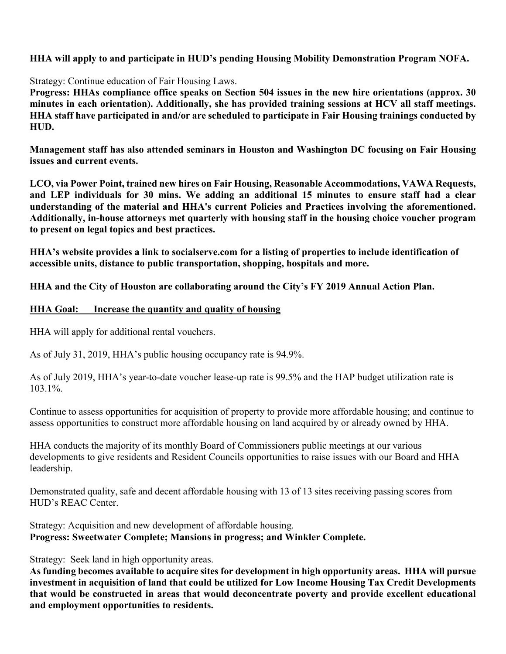## **HHA will apply to and participate in HUD's pending Housing Mobility Demonstration Program NOFA.**

Strategy: Continue education of Fair Housing Laws.

**Progress: HHAs compliance office speaks on Section 504 issues in the new hire orientations (approx. 30 minutes in each orientation). Additionally, she has provided training sessions at HCV all staff meetings. HHA staff have participated in and/or are scheduled to participate in Fair Housing trainings conducted by HUD.**

**Management staff has also attended seminars in Houston and Washington DC focusing on Fair Housing issues and current events.**

**LCO, via Power Point, trained new hires on Fair Housing, Reasonable Accommodations, VAWA Requests, and LEP individuals for 30 mins. We adding an additional 15 minutes to ensure staff had a clear understanding of the material and HHA's current Policies and Practices involving the aforementioned. Additionally, in-house attorneys met quarterly with housing staff in the housing choice voucher program to present on legal topics and best practices.**

**HHA's website provides a link to socialserve.com for a listing of properties to include identification of accessible units, distance to public transportation, shopping, hospitals and more.**

**HHA and the City of Houston are collaborating around the City's FY 2019 Annual Action Plan.**

### **HHA Goal: Increase the quantity and quality of housing**

HHA will apply for additional rental vouchers.

As of July 31, 2019, HHA's public housing occupancy rate is 94.9%.

As of July 2019, HHA's year-to-date voucher lease-up rate is 99.5% and the HAP budget utilization rate is 103.1%.

Continue to assess opportunities for acquisition of property to provide more affordable housing; and continue to assess opportunities to construct more affordable housing on land acquired by or already owned by HHA.

HHA conducts the majority of its monthly Board of Commissioners public meetings at our various developments to give residents and Resident Councils opportunities to raise issues with our Board and HHA leadership.

Demonstrated quality, safe and decent affordable housing with 13 of 13 sites receiving passing scores from HUD's REAC Center.

Strategy: Acquisition and new development of affordable housing. **Progress: Sweetwater Complete; Mansions in progress; and Winkler Complete.**

Strategy: Seek land in high opportunity areas.

**As funding becomes available to acquire sites for development in high opportunity areas. HHA will pursue investment in acquisition of land that could be utilized for Low Income Housing Tax Credit Developments that would be constructed in areas that would deconcentrate poverty and provide excellent educational and employment opportunities to residents.**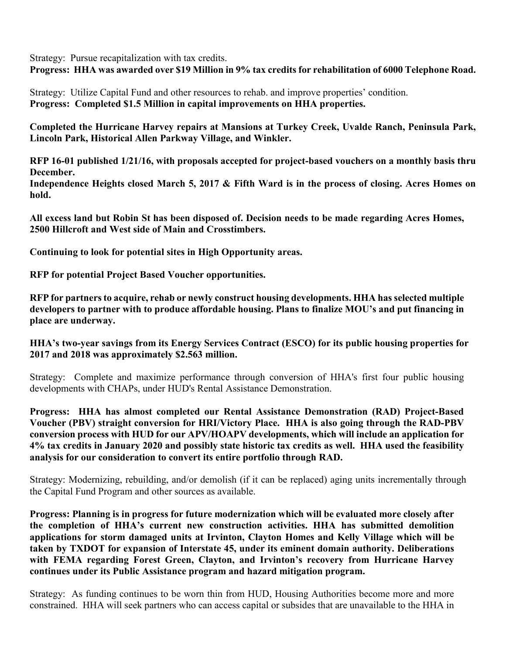Strategy: Pursue recapitalization with tax credits.

**Progress: HHA was awarded over \$19 Million in 9% tax credits for rehabilitation of 6000 Telephone Road.**

Strategy: Utilize Capital Fund and other resources to rehab. and improve properties' condition. **Progress: Completed \$1.5 Million in capital improvements on HHA properties.**

**Completed the Hurricane Harvey repairs at Mansions at Turkey Creek, Uvalde Ranch, Peninsula Park, Lincoln Park, Historical Allen Parkway Village, and Winkler.**

**RFP 16-01 published 1/21/16, with proposals accepted for project-based vouchers on a monthly basis thru December.**

**Independence Heights closed March 5, 2017 & Fifth Ward is in the process of closing. Acres Homes on hold.**

**All excess land but Robin St has been disposed of. Decision needs to be made regarding Acres Homes, 2500 Hillcroft and West side of Main and Crosstimbers.**

**Continuing to look for potential sites in High Opportunity areas.**

**RFP for potential Project Based Voucher opportunities.**

**RFP for partners to acquire, rehab or newly construct housing developments. HHA has selected multiple developers to partner with to produce affordable housing. Plans to finalize MOU's and put financing in place are underway.**

**HHA's two-year savings from its Energy Services Contract (ESCO) for its public housing properties for 2017 and 2018 was approximately \$2.563 million.**

Strategy: Complete and maximize performance through conversion of HHA's first four public housing developments with CHAPs, under HUD's Rental Assistance Demonstration.

**Progress: HHA has almost completed our Rental Assistance Demonstration (RAD) Project-Based Voucher (PBV) straight conversion for HRI/Victory Place. HHA is also going through the RAD-PBV conversion process with HUD for our APV/HOAPV developments, which will include an application for 4% tax credits in January 2020 and possibly state historic tax credits as well. HHA used the feasibility analysis for our consideration to convert its entire portfolio through RAD.** 

Strategy: Modernizing, rebuilding, and/or demolish (if it can be replaced) aging units incrementally through the Capital Fund Program and other sources as available.

**Progress: Planning is in progress for future modernization which will be evaluated more closely after the completion of HHA's current new construction activities. HHA has submitted demolition applications for storm damaged units at Irvinton, Clayton Homes and Kelly Village which will be taken by TXDOT for expansion of Interstate 45, under its eminent domain authority. Deliberations with FEMA regarding Forest Green, Clayton, and Irvinton's recovery from Hurricane Harvey continues under its Public Assistance program and hazard mitigation program.**

Strategy: As funding continues to be worn thin from HUD, Housing Authorities become more and more constrained. HHA will seek partners who can access capital or subsides that are unavailable to the HHA in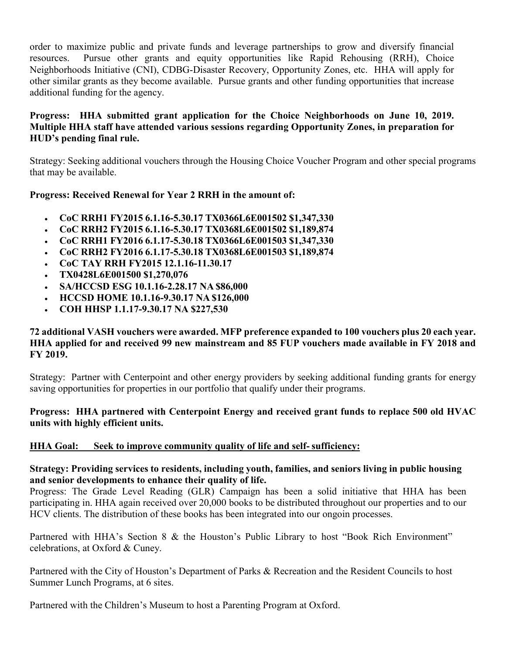order to maximize public and private funds and leverage partnerships to grow and diversify financial resources. Pursue other grants and equity opportunities like Rapid Rehousing (RRH), Choice Neighborhoods Initiative (CNI), CDBG-Disaster Recovery, Opportunity Zones, etc. HHA will apply for other similar grants as they become available. Pursue grants and other funding opportunities that increase additional funding for the agency.

## **Progress: HHA submitted grant application for the Choice Neighborhoods on June 10, 2019. Multiple HHA staff have attended various sessions regarding Opportunity Zones, in preparation for HUD's pending final rule.**

Strategy: Seeking additional vouchers through the Housing Choice Voucher Program and other special programs that may be available.

### **Progress: Received Renewal for Year 2 RRH in the amount of:**

- **CoC RRH1 FY2015 6.1.16-5.30.17 TX0366L6E001502 \$1,347,330**
- **CoC RRH2 FY2015 6.1.16-5.30.17 TX0368L6E001502 \$1,189,874**
- **CoC RRH1 FY2016 6.1.17-5.30.18 TX0366L6E001503 \$1,347,330**
- **CoC RRH2 FY2016 6.1.17-5.30.18 TX0368L6E001503 \$1,189,874**
- **CoC TAY RRH FY2015 12.1.16-11.30.17**
- **TX0428L6E001500 \$1,270,076**
- **SA/HCCSD ESG 10.1.16-2.28.17 NA \$86,000**
- **HCCSD HOME 10.1.16-9.30.17 NA \$126,000**
- **COH HHSP 1.1.17-9.30.17 NA \$227,530**

#### **72 additional VASH vouchers were awarded. MFP preference expanded to 100 vouchers plus 20 each year. HHA applied for and received 99 new mainstream and 85 FUP vouchers made available in FY 2018 and FY 2019.**

Strategy: Partner with Centerpoint and other energy providers by seeking additional funding grants for energy saving opportunities for properties in our portfolio that qualify under their programs.

#### **Progress: HHA partnered with Centerpoint Energy and received grant funds to replace 500 old HVAC units with highly efficient units.**

### **HHA Goal: Seek to improve community quality of life and self- sufficiency:**

#### **Strategy: Providing services to residents, including youth, families, and seniors living in public housing and senior developments to enhance their quality of life.**

Progress: The Grade Level Reading (GLR) Campaign has been a solid initiative that HHA has been participating in. HHA again received over 20,000 books to be distributed throughout our properties and to our HCV clients. The distribution of these books has been integrated into our ongoin processes.

Partnered with HHA's Section 8 & the Houston's Public Library to host "Book Rich Environment" celebrations, at Oxford & Cuney.

Partnered with the City of Houston's Department of Parks & Recreation and the Resident Councils to host Summer Lunch Programs, at 6 sites.

Partnered with the Children's Museum to host a Parenting Program at Oxford.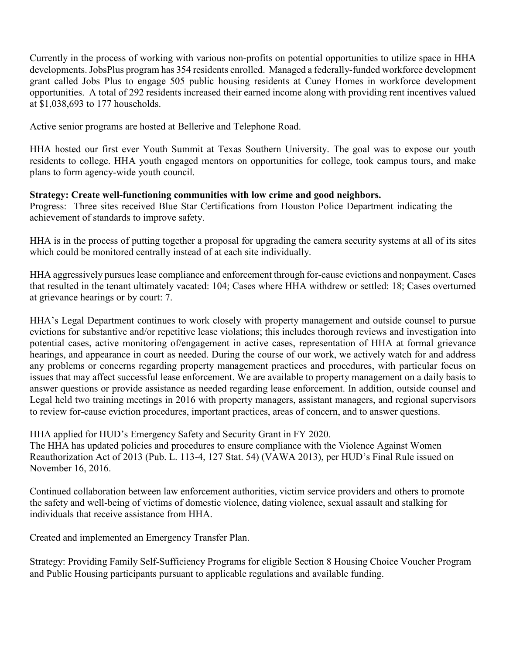Currently in the process of working with various non-profits on potential opportunities to utilize space in HHA developments. JobsPlus program has 354 residents enrolled. Managed a federally-funded workforce development grant called Jobs Plus to engage 505 public housing residents at Cuney Homes in workforce development opportunities. A total of 292 residents increased their earned income along with providing rent incentives valued at \$1,038,693 to 177 households.

Active senior programs are hosted at Bellerive and Telephone Road.

HHA hosted our first ever Youth Summit at Texas Southern University. The goal was to expose our youth residents to college. HHA youth engaged mentors on opportunities for college, took campus tours, and make plans to form agency-wide youth council.

## **Strategy: Create well-functioning communities with low crime and good neighbors.**

Progress: Three sites received Blue Star Certifications from Houston Police Department indicating the achievement of standards to improve safety.

HHA is in the process of putting together a proposal for upgrading the camera security systems at all of its sites which could be monitored centrally instead of at each site individually.

HHA aggressively pursues lease compliance and enforcement through for-cause evictions and nonpayment. Cases that resulted in the tenant ultimately vacated: 104; Cases where HHA withdrew or settled: 18; Cases overturned at grievance hearings or by court: 7.

HHA's Legal Department continues to work closely with property management and outside counsel to pursue evictions for substantive and/or repetitive lease violations; this includes thorough reviews and investigation into potential cases, active monitoring of/engagement in active cases, representation of HHA at formal grievance hearings, and appearance in court as needed. During the course of our work, we actively watch for and address any problems or concerns regarding property management practices and procedures, with particular focus on issues that may affect successful lease enforcement. We are available to property management on a daily basis to answer questions or provide assistance as needed regarding lease enforcement. In addition, outside counsel and Legal held two training meetings in 2016 with property managers, assistant managers, and regional supervisors to review for-cause eviction procedures, important practices, areas of concern, and to answer questions.

HHA applied for HUD's Emergency Safety and Security Grant in FY 2020.

The HHA has updated policies and procedures to ensure compliance with the Violence Against Women Reauthorization Act of 2013 (Pub. L. 113-4, 127 Stat. 54) (VAWA 2013), per HUD's Final Rule issued on November 16, 2016.

Continued collaboration between law enforcement authorities, victim service providers and others to promote the safety and well-being of victims of domestic violence, dating violence, sexual assault and stalking for individuals that receive assistance from HHA.

Created and implemented an Emergency Transfer Plan.

Strategy: Providing Family Self-Sufficiency Programs for eligible Section 8 Housing Choice Voucher Program and Public Housing participants pursuant to applicable regulations and available funding.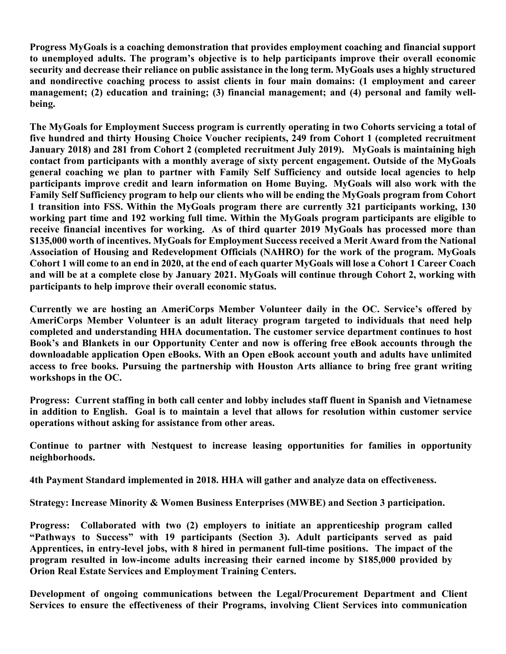**Progress MyGoals is a coaching demonstration that provides employment coaching and financial support to unemployed adults. The program's objective is to help participants improve their overall economic security and decrease their reliance on public assistance in the long term. MyGoals uses a highly structured and nondirective coaching process to assist clients in four main domains: (1 employment and career management; (2) education and training; (3) financial management; and (4) personal and family wellbeing.** 

**The MyGoals for Employment Success program is currently operating in two Cohorts servicing a total of five hundred and thirty Housing Choice Voucher recipients, 249 from Cohort 1 (completed recruitment January 2018) and 281 from Cohort 2 (completed recruitment July 2019). MyGoals is maintaining high contact from participants with a monthly average of sixty percent engagement. Outside of the MyGoals general coaching we plan to partner with Family Self Sufficiency and outside local agencies to help participants improve credit and learn information on Home Buying. MyGoals will also work with the Family Self Sufficiency program to help our clients who will be ending the MyGoals program from Cohort 1 transition into FSS. Within the MyGoals program there are currently 321 participants working, 130 working part time and 192 working full time. Within the MyGoals program participants are eligible to receive financial incentives for working. As of third quarter 2019 MyGoals has processed more than \$135,000 worth of incentives. MyGoals for Employment Success received a Merit Award from the National Association of Housing and Redevelopment Officials (NAHRO) for the work of the program. MyGoals Cohort 1 will come to an end in 2020, at the end of each quarter MyGoals will lose a Cohort 1 Career Coach and will be at a complete close by January 2021. MyGoals will continue through Cohort 2, working with participants to help improve their overall economic status.**

**Currently we are hosting an AmeriCorps Member Volunteer daily in the OC. Service's offered by AmeriCorps Member Volunteer is an adult literacy program targeted to individuals that need help completed and understanding HHA documentation. The customer service department continues to host Book's and Blankets in our Opportunity Center and now is offering free eBook accounts through the downloadable application Open eBooks. With an Open eBook account youth and adults have unlimited access to free books. Pursuing the partnership with Houston Arts alliance to bring free grant writing workshops in the OC.** 

**Progress: Current staffing in both call center and lobby includes staff fluent in Spanish and Vietnamese in addition to English. Goal is to maintain a level that allows for resolution within customer service operations without asking for assistance from other areas.**

**Continue to partner with Nestquest to increase leasing opportunities for families in opportunity neighborhoods.**

**4th Payment Standard implemented in 2018. HHA will gather and analyze data on effectiveness.**

**Strategy: Increase Minority & Women Business Enterprises (MWBE) and Section 3 participation.**

**Progress: Collaborated with two (2) employers to initiate an apprenticeship program called "Pathways to Success" with 19 participants (Section 3). Adult participants served as paid Apprentices, in entry-level jobs, with 8 hired in permanent full-time positions. The impact of the program resulted in low-income adults increasing their earned income by \$185,000 provided by Orion Real Estate Services and Employment Training Centers.**

**Development of ongoing communications between the Legal/Procurement Department and Client Services to ensure the effectiveness of their Programs, involving Client Services into communication**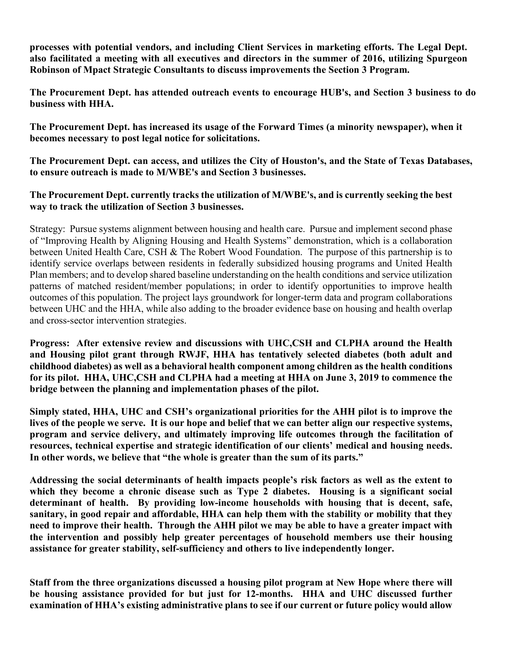**processes with potential vendors, and including Client Services in marketing efforts. The Legal Dept. also facilitated a meeting with all executives and directors in the summer of 2016, utilizing Spurgeon Robinson of Mpact Strategic Consultants to discuss improvements the Section 3 Program.**

**The Procurement Dept. has attended outreach events to encourage HUB's, and Section 3 business to do business with HHA.**

**The Procurement Dept. has increased its usage of the Forward Times (a minority newspaper), when it becomes necessary to post legal notice for solicitations.**

**The Procurement Dept. can access, and utilizes the City of Houston's, and the State of Texas Databases, to ensure outreach is made to M/WBE's and Section 3 businesses.**

### **The Procurement Dept. currently tracks the utilization of M/WBE's, and is currently seeking the best way to track the utilization of Section 3 businesses.**

Strategy: Pursue systems alignment between housing and health care. Pursue and implement second phase of "Improving Health by Aligning Housing and Health Systems" demonstration, which is a collaboration between United Health Care, CSH & The Robert Wood Foundation. The purpose of this partnership is to identify service overlaps between residents in federally subsidized housing programs and United Health Plan members; and to develop shared baseline understanding on the health conditions and service utilization patterns of matched resident/member populations; in order to identify opportunities to improve health outcomes of this population. The project lays groundwork for longer-term data and program collaborations between UHC and the HHA, while also adding to the broader evidence base on housing and health overlap and cross-sector intervention strategies.

**Progress: After extensive review and discussions with UHC,CSH and CLPHA around the Health and Housing pilot grant through RWJF, HHA has tentatively selected diabetes (both adult and childhood diabetes) as well as a behavioral health component among children as the health conditions for its pilot. HHA, UHC,CSH and CLPHA had a meeting at HHA on June 3, 2019 to commence the bridge between the planning and implementation phases of the pilot.** 

**Simply stated, HHA, UHC and CSH's organizational priorities for the AHH pilot is to improve the lives of the people we serve. It is our hope and belief that we can better align our respective systems, program and service delivery, and ultimately improving life outcomes through the facilitation of resources, technical expertise and strategic identification of our clients' medical and housing needs. In other words, we believe that "the whole is greater than the sum of its parts."** 

**Addressing the social determinants of health impacts people's risk factors as well as the extent to which they become a chronic disease such as Type 2 diabetes. Housing is a significant social determinant of health. By providing low-income households with housing that is decent, safe, sanitary, in good repair and affordable, HHA can help them with the stability or mobility that they need to improve their health. Through the AHH pilot we may be able to have a greater impact with the intervention and possibly help greater percentages of household members use their housing assistance for greater stability, self-sufficiency and others to live independently longer.** 

**Staff from the three organizations discussed a housing pilot program at New Hope where there will be housing assistance provided for but just for 12-months. HHA and UHC discussed further examination of HHA's existing administrative plans to see if our current or future policy would allow**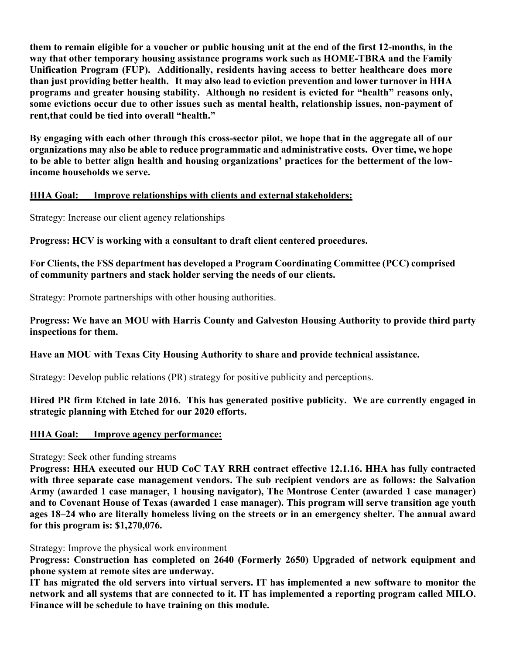**them to remain eligible for a voucher or public housing unit at the end of the first 12-months, in the way that other temporary housing assistance programs work such as HOME-TBRA and the Family Unification Program (FUP). Additionally, residents having access to better healthcare does more than just providing better health. It may also lead to eviction prevention and lower turnover in HHA programs and greater housing stability. Although no resident is evicted for "health" reasons only, some evictions occur due to other issues such as mental health, relationship issues, non-payment of rent,that could be tied into overall "health."** 

**By engaging with each other through this cross-sector pilot, we hope that in the aggregate all of our organizations may also be able to reduce programmatic and administrative costs. Over time, we hope to be able to better align health and housing organizations' practices for the betterment of the lowincome households we serve.** 

#### **HHA Goal: Improve relationships with clients and external stakeholders:**

Strategy: Increase our client agency relationships

**Progress: HCV is working with a consultant to draft client centered procedures.**

**For Clients, the FSS department has developed a Program Coordinating Committee (PCC) comprised of community partners and stack holder serving the needs of our clients.**

Strategy: Promote partnerships with other housing authorities.

**Progress: We have an MOU with Harris County and Galveston Housing Authority to provide third party inspections for them.**

#### **Have an MOU with Texas City Housing Authority to share and provide technical assistance.**

Strategy: Develop public relations (PR) strategy for positive publicity and perceptions.

**Hired PR firm Etched in late 2016. This has generated positive publicity. We are currently engaged in strategic planning with Etched for our 2020 efforts.**

#### **HHA Goal: Improve agency performance:**

Strategy: Seek other funding streams

**Progress: HHA executed our HUD CoC TAY RRH contract effective 12.1.16. HHA has fully contracted with three separate case management vendors. The sub recipient vendors are as follows: the Salvation Army (awarded 1 case manager, 1 housing navigator), The Montrose Center (awarded 1 case manager) and to Covenant House of Texas (awarded 1 case manager). This program will serve transition age youth ages 18–24 who are literally homeless living on the streets or in an emergency shelter. The annual award for this program is: \$1,270,076.**

Strategy: Improve the physical work environment

**Progress: Construction has completed on 2640 (Formerly 2650) Upgraded of network equipment and phone system at remote sites are underway.**

**IT has migrated the old servers into virtual servers. IT has implemented a new software to monitor the network and all systems that are connected to it. IT has implemented a reporting program called MILO. Finance will be schedule to have training on this module.**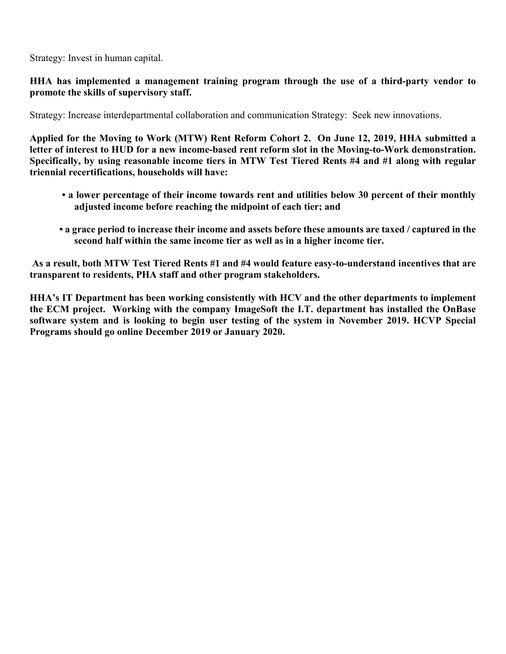Strategy: Invest in human capital.

## **HHA has implemented a management training program through the use of a third-party vendor to promote the skills of supervisory staff.**

Strategy: Increase interdepartmental collaboration and communication Strategy: Seek new innovations.

**Applied for the Moving to Work (MTW) Rent Reform Cohort 2. On June 12, 2019, HHA submitted a letter of interest to HUD for a new income-based rent reform slot in the Moving-to-Work demonstration. Specifically, by using reasonable income tiers in MTW Test Tiered Rents #4 and #1 along with regular triennial recertifications, households will have:** 

- **a lower percentage of their income towards rent and utilities below 30 percent of their monthly adjusted income before reaching the midpoint of each tier; and**
- **a grace period to increase their income and assets before these amounts are taxed / captured in the second half within the same income tier as well as in a higher income tier.**

**As a result, both MTW Test Tiered Rents #1 and #4 would feature easy-to-understand incentives that are transparent to residents, PHA staff and other program stakeholders.** 

**HHA's IT Department has been working consistently with HCV and the other departments to implement the ECM project. Working with the company ImageSoft the I.T. department has installed the OnBase software system and is looking to begin user testing of the system in November 2019. HCVP Special Programs should go online December 2019 or January 2020.**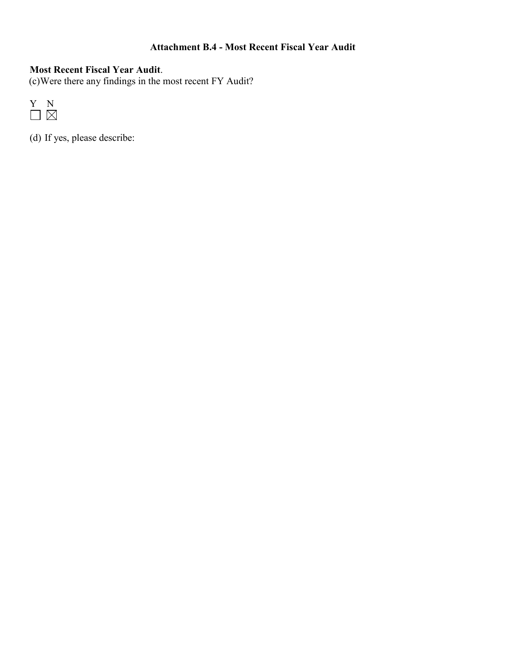# **Attachment B.4 - Most Recent Fiscal Year Audit**

# **Most Recent Fiscal Year Audit**.

(c)Were there any findings in the most recent FY Audit?



(d) If yes, please describe: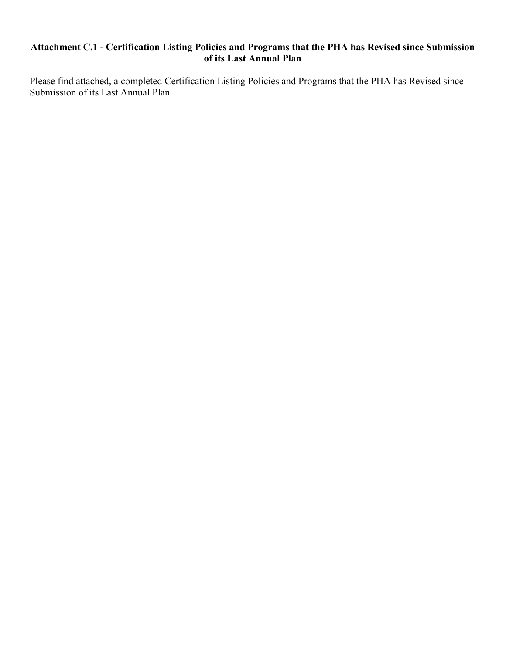## **Attachment C.1 - Certification Listing Policies and Programs that the PHA has Revised since Submission of its Last Annual Plan**

Please find attached, a completed Certification Listing Policies and Programs that the PHA has Revised since Submission of its Last Annual Plan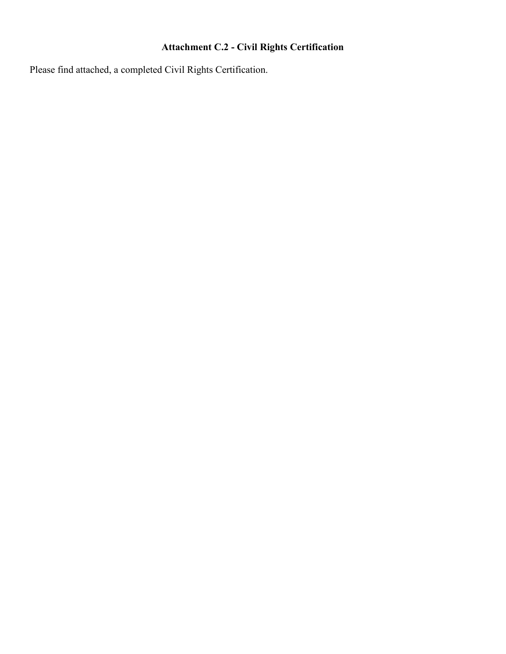# **Attachment C.2 - Civil Rights Certification**

Please find attached, a completed Civil Rights Certification.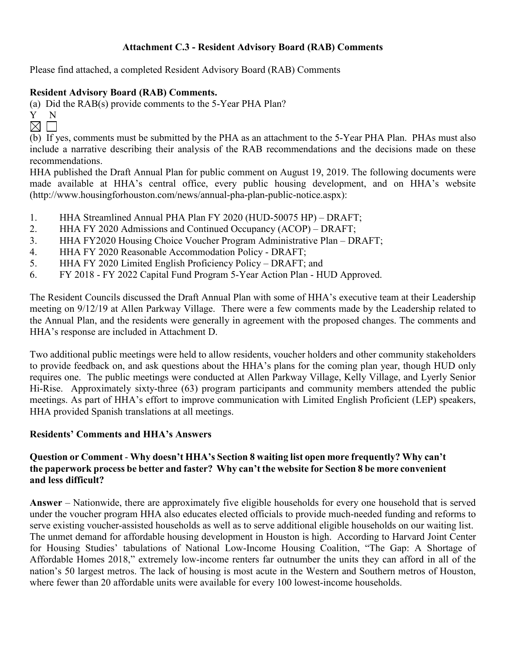## **Attachment C.3 - Resident Advisory Board (RAB) Comments**

Please find attached, a completed Resident Advisory Board (RAB) Comments

### **Resident Advisory Board (RAB) Comments.**

(a) Did the RAB(s) provide comments to the 5-Year PHA Plan?

- Y N
- $\boxtimes$   $\square$

(b) If yes, comments must be submitted by the PHA as an attachment to the 5-Year PHA Plan. PHAs must also include a narrative describing their analysis of the RAB recommendations and the decisions made on these recommendations.

HHA published the Draft Annual Plan for public comment on August 19, 2019. The following documents were made available at HHA's central office, every public housing development, and on HHA's website (http://www.housingforhouston.com/news/annual-pha-plan-public-notice.aspx):

- 1. HHA Streamlined Annual PHA Plan FY 2020 (HUD-50075 HP) DRAFT;
- 2. HHA FY 2020 Admissions and Continued Occupancy (ACOP) DRAFT;
- 3. HHA FY2020 Housing Choice Voucher Program Administrative Plan DRAFT;
- 4. HHA FY 2020 Reasonable Accommodation Policy DRAFT;
- 5. HHA FY 2020 Limited English Proficiency Policy DRAFT; and
- 6. FY 2018 FY 2022 Capital Fund Program 5-Year Action Plan HUD Approved.

The Resident Councils discussed the Draft Annual Plan with some of HHA's executive team at their Leadership meeting on 9/12/19 at Allen Parkway Village. There were a few comments made by the Leadership related to the Annual Plan, and the residents were generally in agreement with the proposed changes. The comments and HHA's response are included in Attachment D.

Two additional public meetings were held to allow residents, voucher holders and other community stakeholders to provide feedback on, and ask questions about the HHA's plans for the coming plan year, though HUD only requires one. The public meetings were conducted at Allen Parkway Village, Kelly Village, and Lyerly Senior Hi-Rise. Approximately sixty-three (63) program participants and community members attended the public meetings. As part of HHA's effort to improve communication with Limited English Proficient (LEP) speakers, HHA provided Spanish translations at all meetings.

### **Residents' Comments and HHA's Answers**

## **Question or Comment** - **Why doesn't HHA's Section 8 waiting list open more frequently? Why can't the paperwork process be better and faster? Why can't the website for Section 8 be more convenient and less difficult?**

**Answer** – Nationwide, there are approximately five eligible households for every one household that is served under the voucher program HHA also educates elected officials to provide much-needed funding and reforms to serve existing voucher-assisted households as well as to serve additional eligible households on our waiting list. The unmet demand for affordable housing development in Houston is high. According to Harvard Joint Center for Housing Studies' tabulations of National Low-Income Housing Coalition, "The Gap: A Shortage of Affordable Homes 2018," extremely low-income renters far outnumber the units they can afford in all of the nation's 50 largest metros. The lack of housing is most acute in the Western and Southern metros of Houston, where fewer than 20 affordable units were available for every 100 lowest-income households.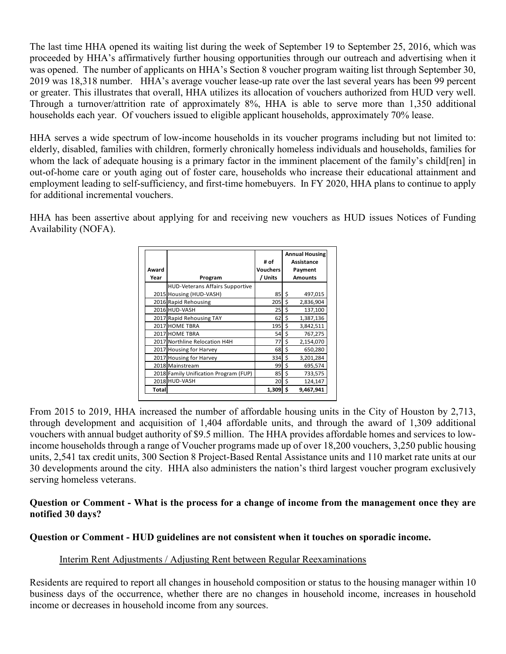The last time HHA opened its waiting list during the week of September 19 to September 25, 2016, which was proceeded by HHA's affirmatively further housing opportunities through our outreach and advertising when it was opened. The number of applicants on HHA's Section 8 voucher program waiting list through September 30, 2019 was 18,318 number. HHA's average voucher lease-up rate over the last several years has been 99 percent or greater. This illustrates that overall, HHA utilizes its allocation of vouchers authorized from HUD very well. Through a turnover/attrition rate of approximately 8%, HHA is able to serve more than 1,350 additional households each year. Of vouchers issued to eligible applicant households, approximately 70% lease.

HHA serves a wide spectrum of low-income households in its voucher programs including but not limited to: elderly, disabled, families with children, formerly chronically homeless individuals and households, families for whom the lack of adequate housing is a primary factor in the imminent placement of the family's child[ren] in out-of-home care or youth aging out of foster care, households who increase their educational attainment and employment leading to self-sufficiency, and first-time homebuyers. In FY 2020, HHA plans to continue to apply for additional incremental vouchers.

HHA has been assertive about applying for and receiving new vouchers as HUD issues Notices of Funding Availability (NOFA).

|       |                                        |          | <b>Annual Housing</b> |                |  |  |
|-------|----------------------------------------|----------|-----------------------|----------------|--|--|
|       |                                        | # of     |                       | Assistance     |  |  |
| Award |                                        | Vouchers |                       | Payment        |  |  |
| Year  | Program                                | / Units  |                       | <b>Amounts</b> |  |  |
|       | <b>HUD-Veterans Affairs Supportive</b> |          |                       |                |  |  |
|       | 2015 Housing (HUD-VASH)                | 85       | \$                    | 497,015        |  |  |
|       | 2016 Rapid Rehousing                   | 205      | \$                    | 2,836,904      |  |  |
|       | 2016 HUD-VASH                          | 25       | \$                    | 137,100        |  |  |
|       | 2017 Rapid Rehousing TAY               | 62       | \$                    | 1,387,136      |  |  |
|       | 2017 HOME TBRA                         | 195      | \$                    | 3,842,511      |  |  |
|       | 2017 HOME TBRA                         | 54       | \$                    | 767,275        |  |  |
|       | 2017 Northline Relocation H4H          | 77       | Ś                     | 2,154,070      |  |  |
|       | 2017 Housing for Harvey                | 68       | Ś                     | 650,280        |  |  |
|       | 2017 Housing for Harvey                | 334      | \$                    | 3,201,284      |  |  |
|       | 2018 Mainstream                        | 99       | \$                    | 695,574        |  |  |
|       | 2018 Family Unification Program (FUP)  | 85       | \$                    | 733,575        |  |  |
|       | 2018 HUD-VASH                          | 20       | Ś                     | 124,147        |  |  |
| Total |                                        | 1,309    | Ś                     | 9,467,941      |  |  |

From 2015 to 2019, HHA increased the number of affordable housing units in the City of Houston by 2,713, through development and acquisition of 1,404 affordable units, and through the award of 1,309 additional vouchers with annual budget authority of \$9.5 million. The HHA provides affordable homes and services to lowincome households through a range of Voucher programs made up of over 18,200 vouchers, 3,250 public housing units, 2,541 tax credit units, 300 Section 8 Project-Based Rental Assistance units and 110 market rate units at our 30 developments around the city. HHA also administers the nation's third largest voucher program exclusively serving homeless veterans.

### **Question or Comment - What is the process for a change of income from the management once they are notified 30 days?**

### **Question or Comment - HUD guidelines are not consistent when it touches on sporadic income.**

### Interim Rent Adjustments / Adjusting Rent between Regular Reexaminations

Residents are required to report all changes in household composition or status to the housing manager within 10 business days of the occurrence, whether there are no changes in household income, increases in household income or decreases in household income from any sources.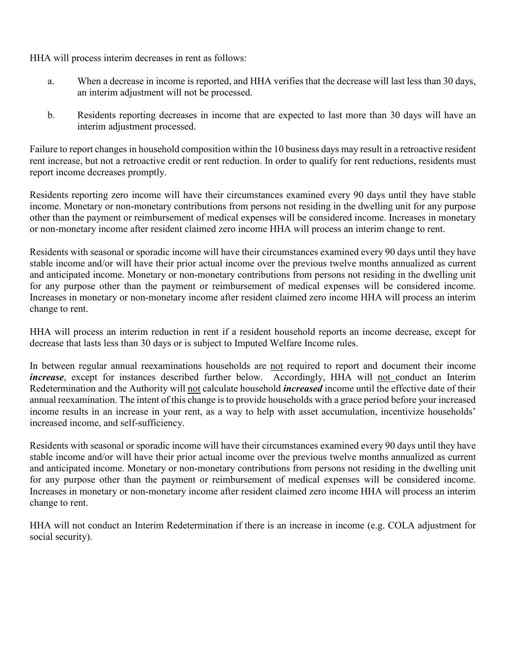HHA will process interim decreases in rent as follows:

- a. When a decrease in income is reported, and HHA verifies that the decrease will last less than 30 days, an interim adjustment will not be processed.
- b. Residents reporting decreases in income that are expected to last more than 30 days will have an interim adjustment processed.

Failure to report changes in household composition within the 10 business days may result in a retroactive resident rent increase, but not a retroactive credit or rent reduction. In order to qualify for rent reductions, residents must report income decreases promptly.

Residents reporting zero income will have their circumstances examined every 90 days until they have stable income. Monetary or non-monetary contributions from persons not residing in the dwelling unit for any purpose other than the payment or reimbursement of medical expenses will be considered income. Increases in monetary or non-monetary income after resident claimed zero income HHA will process an interim change to rent.

Residents with seasonal or sporadic income will have their circumstances examined every 90 days until they have stable income and/or will have their prior actual income over the previous twelve months annualized as current and anticipated income. Monetary or non-monetary contributions from persons not residing in the dwelling unit for any purpose other than the payment or reimbursement of medical expenses will be considered income. Increases in monetary or non-monetary income after resident claimed zero income HHA will process an interim change to rent.

HHA will process an interim reduction in rent if a resident household reports an income decrease, except for decrease that lasts less than 30 days or is subject to Imputed Welfare Income rules.

In between regular annual reexaminations households are not required to report and document their income *increase*, except for instances described further below. Accordingly, HHA will not conduct an Interim Redetermination and the Authority will not calculate household *increased* income until the effective date of their annual reexamination. The intent of this change is to provide households with a grace period before your increased income results in an increase in your rent, as a way to help with asset accumulation, incentivize households' increased income, and self-sufficiency.

Residents with seasonal or sporadic income will have their circumstances examined every 90 days until they have stable income and/or will have their prior actual income over the previous twelve months annualized as current and anticipated income. Monetary or non-monetary contributions from persons not residing in the dwelling unit for any purpose other than the payment or reimbursement of medical expenses will be considered income. Increases in monetary or non-monetary income after resident claimed zero income HHA will process an interim change to rent.

HHA will not conduct an Interim Redetermination if there is an increase in income (e.g. COLA adjustment for social security).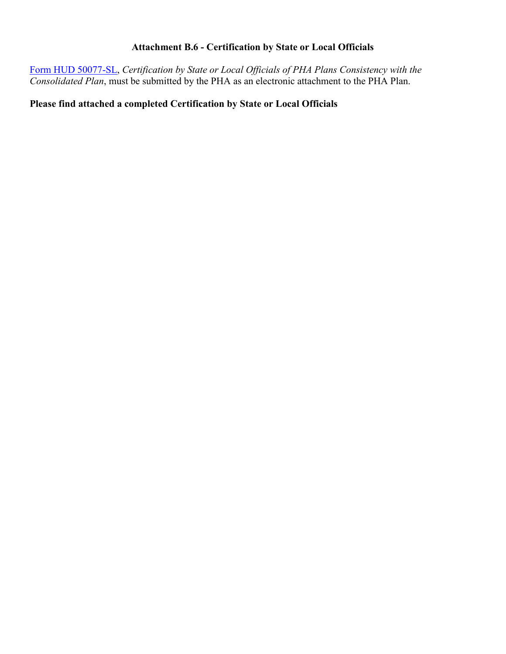# **Attachment B.6 - Certification by State or Local Officials**

[Form HUD 50077-SL,](http://www.hud.gov/offices/adm/hudclips/forms/files/50077sl.doc) *Certification by State or Local Officials of PHA Plans Consistency with the Consolidated Plan*, must be submitted by the PHA as an electronic attachment to the PHA Plan.

### **Please find attached a completed Certification by State or Local Officials**